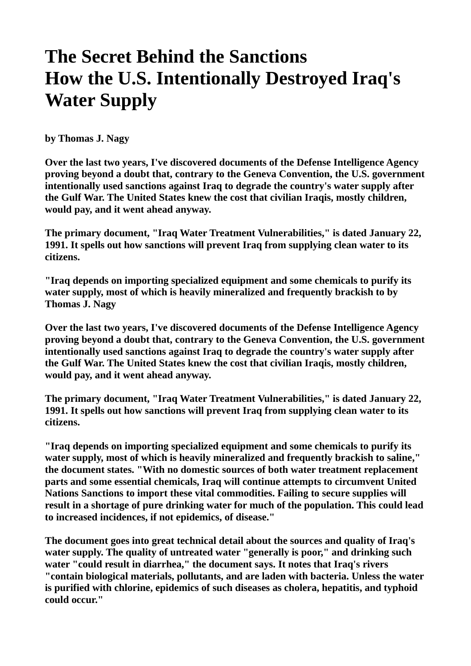# **The Secret Behind the Sanctions How the U.S. Intentionally Destroyed Iraq's Water Supply**

**by Thomas J. Nagy** 

**Over the last two years, I've discovered documents of the Defense Intelligence Agency proving beyond a doubt that, contrary to the Geneva Convention, the U.S. government intentionally used sanctions against Iraq to degrade the country's water supply after the Gulf War. The United States knew the cost that civilian Iraqis, mostly children, would pay, and it went ahead anyway.** 

**The primary document, "Iraq Water Treatment Vulnerabilities," is dated January 22, 1991. It spells out how sanctions will prevent Iraq from supplying clean water to its citizens.** 

**"Iraq depends on importing specialized equipment and some chemicals to purify its water supply, most of which is heavily mineralized and frequently brackish to by Thomas J. Nagy** 

**Over the last two years, I've discovered documents of the Defense Intelligence Agency proving beyond a doubt that, contrary to the Geneva Convention, the U.S. government intentionally used sanctions against Iraq to degrade the country's water supply after the Gulf War. The United States knew the cost that civilian Iraqis, mostly children, would pay, and it went ahead anyway.** 

**The primary document, "Iraq Water Treatment Vulnerabilities," is dated January 22, 1991. It spells out how sanctions will prevent Iraq from supplying clean water to its citizens.** 

**"Iraq depends on importing specialized equipment and some chemicals to purify its water supply, most of which is heavily mineralized and frequently brackish to saline," the document states. "With no domestic sources of both water treatment replacement parts and some essential chemicals, Iraq will continue attempts to circumvent United Nations Sanctions to import these vital commodities. Failing to secure supplies will result in a shortage of pure drinking water for much of the population. This could lead to increased incidences, if not epidemics, of disease."** 

**The document goes into great technical detail about the sources and quality of Iraq's water supply. The quality of untreated water "generally is poor," and drinking such water "could result in diarrhea," the document says. It notes that Iraq's rivers "contain biological materials, pollutants, and are laden with bacteria. Unless the water is purified with chlorine, epidemics of such diseases as cholera, hepatitis, and typhoid could occur."**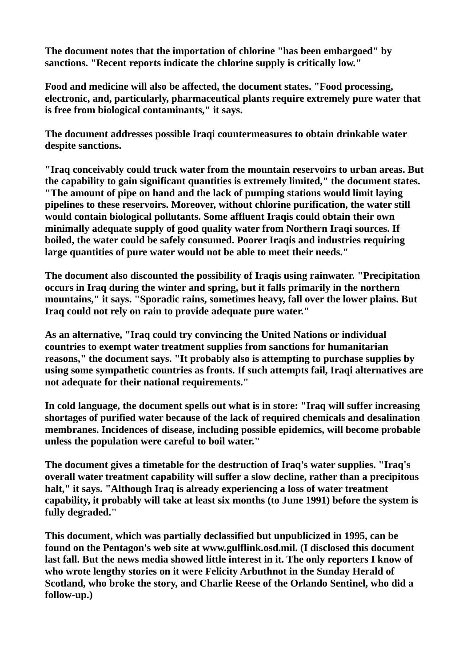**The document notes that the importation of chlorine "has been embargoed" by sanctions. "Recent reports indicate the chlorine supply is critically low."** 

**Food and medicine will also be affected, the document states. "Food processing, electronic, and, particularly, pharmaceutical plants require extremely pure water that is free from biological contaminants," it says.** 

**The document addresses possible Iraqi countermeasures to obtain drinkable water despite sanctions.** 

**"Iraq conceivably could truck water from the mountain reservoirs to urban areas. But the capability to gain significant quantities is extremely limited," the document states. "The amount of pipe on hand and the lack of pumping stations would limit laying pipelines to these reservoirs. Moreover, without chlorine purification, the water still would contain biological pollutants. Some affluent Iraqis could obtain their own minimally adequate supply of good quality water from Northern Iraqi sources. If boiled, the water could be safely consumed. Poorer Iraqis and industries requiring large quantities of pure water would not be able to meet their needs."** 

**The document also discounted the possibility of Iraqis using rainwater. "Precipitation occurs in Iraq during the winter and spring, but it falls primarily in the northern mountains," it says. "Sporadic rains, sometimes heavy, fall over the lower plains. But Iraq could not rely on rain to provide adequate pure water."** 

**As an alternative, "Iraq could try convincing the United Nations or individual countries to exempt water treatment supplies from sanctions for humanitarian reasons," the document says. "It probably also is attempting to purchase supplies by using some sympathetic countries as fronts. If such attempts fail, Iraqi alternatives are not adequate for their national requirements."** 

**In cold language, the document spells out what is in store: "Iraq will suffer increasing shortages of purified water because of the lack of required chemicals and desalination membranes. Incidences of disease, including possible epidemics, will become probable unless the population were careful to boil water."** 

**The document gives a timetable for the destruction of Iraq's water supplies. "Iraq's overall water treatment capability will suffer a slow decline, rather than a precipitous halt," it says. "Although Iraq is already experiencing a loss of water treatment capability, it probably will take at least six months (to June 1991) before the system is fully degraded."** 

**This document, which was partially declassified but unpublicized in 1995, can be found on the Pentagon's web site at www.gulflink.osd.mil. (I disclosed this document last fall. But the news media showed little interest in it. The only reporters I know of who wrote lengthy stories on it were Felicity Arbuthnot in the Sunday Herald of Scotland, who broke the story, and Charlie Reese of the Orlando Sentinel, who did a follow-up.)**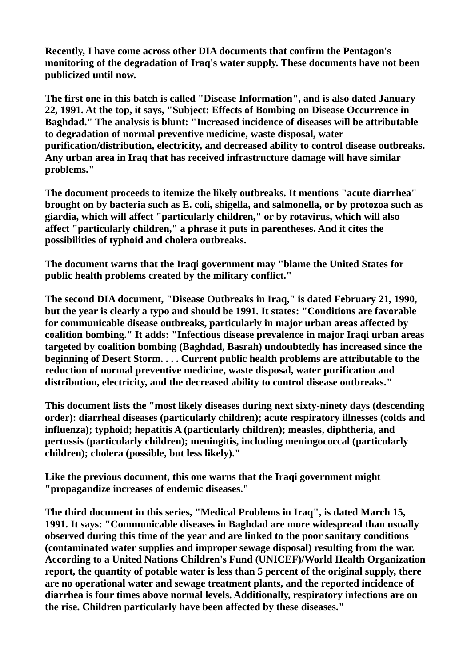**Recently, I have come across other DIA documents that confirm the Pentagon's monitoring of the degradation of Iraq's water supply. These documents have not been publicized until now.** 

**The first one in this batch is called "Disease Information", and is also dated January 22, 1991. At the top, it says, "Subject: Effects of Bombing on Disease Occurrence in Baghdad." The analysis is blunt: "Increased incidence of diseases will be attributable to degradation of normal preventive medicine, waste disposal, water purification/distribution, electricity, and decreased ability to control disease outbreaks. Any urban area in Iraq that has received infrastructure damage will have similar problems."** 

**The document proceeds to itemize the likely outbreaks. It mentions "acute diarrhea" brought on by bacteria such as E. coli, shigella, and salmonella, or by protozoa such as giardia, which will affect "particularly children," or by rotavirus, which will also affect "particularly children," a phrase it puts in parentheses. And it cites the possibilities of typhoid and cholera outbreaks.** 

**The document warns that the Iraqi government may "blame the United States for public health problems created by the military conflict."** 

**The second DIA document, "Disease Outbreaks in Iraq," is dated February 21, 1990, but the year is clearly a typo and should be 1991. It states: "Conditions are favorable for communicable disease outbreaks, particularly in major urban areas affected by coalition bombing." It adds: "Infectious disease prevalence in major Iraqi urban areas targeted by coalition bombing (Baghdad, Basrah) undoubtedly has increased since the beginning of Desert Storm. . . . Current public health problems are attributable to the reduction of normal preventive medicine, waste disposal, water purification and distribution, electricity, and the decreased ability to control disease outbreaks."** 

**This document lists the "most likely diseases during next sixty-ninety days (descending order): diarrheal diseases (particularly children); acute respiratory illnesses (colds and influenza); typhoid; hepatitis A (particularly children); measles, diphtheria, and pertussis (particularly children); meningitis, including meningococcal (particularly children); cholera (possible, but less likely)."** 

**Like the previous document, this one warns that the Iraqi government might "propagandize increases of endemic diseases."** 

**The third document in this series, "Medical Problems in Iraq", is dated March 15, 1991. It says: "Communicable diseases in Baghdad are more widespread than usually observed during this time of the year and are linked to the poor sanitary conditions (contaminated water supplies and improper sewage disposal) resulting from the war. According to a United Nations Children's Fund (UNICEF)/World Health Organization report, the quantity of potable water is less than 5 percent of the original supply, there are no operational water and sewage treatment plants, and the reported incidence of diarrhea is four times above normal levels. Additionally, respiratory infections are on the rise. Children particularly have been affected by these diseases."**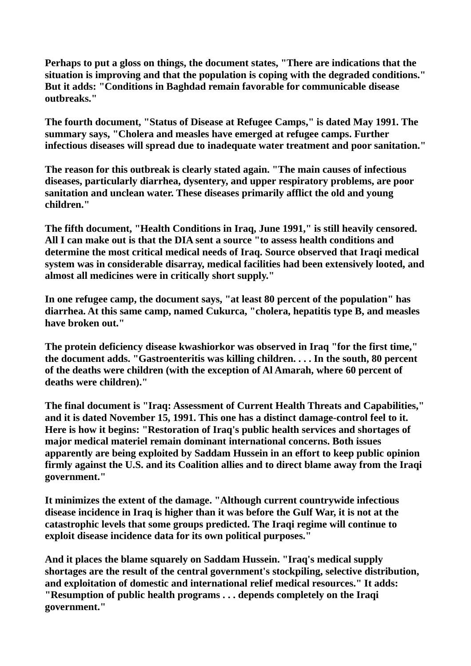**Perhaps to put a gloss on things, the document states, "There are indications that the situation is improving and that the population is coping with the degraded conditions." But it adds: "Conditions in Baghdad remain favorable for communicable disease outbreaks."** 

**The fourth document, "Status of Disease at Refugee Camps," is dated May 1991. The summary says, "Cholera and measles have emerged at refugee camps. Further infectious diseases will spread due to inadequate water treatment and poor sanitation."**

**The reason for this outbreak is clearly stated again. "The main causes of infectious diseases, particularly diarrhea, dysentery, and upper respiratory problems, are poor sanitation and unclean water. These diseases primarily afflict the old and young children."** 

**The fifth document, "Health Conditions in Iraq, June 1991," is still heavily censored. All I can make out is that the DIA sent a source "to assess health conditions and determine the most critical medical needs of Iraq. Source observed that Iraqi medical system was in considerable disarray, medical facilities had been extensively looted, and almost all medicines were in critically short supply."** 

**In one refugee camp, the document says, "at least 80 percent of the population" has diarrhea. At this same camp, named Cukurca, "cholera, hepatitis type B, and measles have broken out."** 

**The protein deficiency disease kwashiorkor was observed in Iraq "for the first time," the document adds. "Gastroenteritis was killing children. . . . In the south, 80 percent of the deaths were children (with the exception of Al Amarah, where 60 percent of deaths were children)."** 

**The final document is "Iraq: Assessment of Current Health Threats and Capabilities," and it is dated November 15, 1991. This one has a distinct damage-control feel to it. Here is how it begins: "Restoration of Iraq's public health services and shortages of major medical materiel remain dominant international concerns. Both issues apparently are being exploited by Saddam Hussein in an effort to keep public opinion firmly against the U.S. and its Coalition allies and to direct blame away from the Iraqi government."** 

**It minimizes the extent of the damage. "Although current countrywide infectious disease incidence in Iraq is higher than it was before the Gulf War, it is not at the catastrophic levels that some groups predicted. The Iraqi regime will continue to exploit disease incidence data for its own political purposes."** 

**And it places the blame squarely on Saddam Hussein. "Iraq's medical supply shortages are the result of the central government's stockpiling, selective distribution, and exploitation of domestic and international relief medical resources." It adds: "Resumption of public health programs . . . depends completely on the Iraqi government."**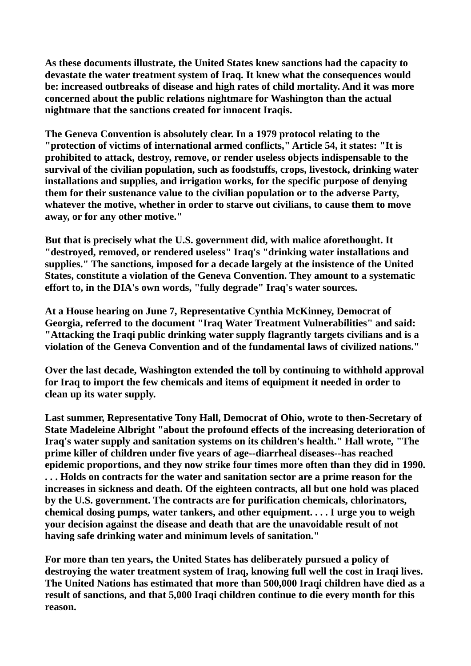**As these documents illustrate, the United States knew sanctions had the capacity to devastate the water treatment system of Iraq. It knew what the consequences would be: increased outbreaks of disease and high rates of child mortality. And it was more concerned about the public relations nightmare for Washington than the actual nightmare that the sanctions created for innocent Iraqis.** 

**The Geneva Convention is absolutely clear. In a 1979 protocol relating to the "protection of victims of international armed conflicts," Article 54, it states: "It is prohibited to attack, destroy, remove, or render useless objects indispensable to the survival of the civilian population, such as foodstuffs, crops, livestock, drinking water installations and supplies, and irrigation works, for the specific purpose of denying them for their sustenance value to the civilian population or to the adverse Party, whatever the motive, whether in order to starve out civilians, to cause them to move away, or for any other motive."** 

**But that is precisely what the U.S. government did, with malice aforethought. It "destroyed, removed, or rendered useless" Iraq's "drinking water installations and supplies." The sanctions, imposed for a decade largely at the insistence of the United States, constitute a violation of the Geneva Convention. They amount to a systematic effort to, in the DIA's own words, "fully degrade" Iraq's water sources.** 

**At a House hearing on June 7, Representative Cynthia McKinney, Democrat of Georgia, referred to the document "Iraq Water Treatment Vulnerabilities" and said: "Attacking the Iraqi public drinking water supply flagrantly targets civilians and is a violation of the Geneva Convention and of the fundamental laws of civilized nations."** 

**Over the last decade, Washington extended the toll by continuing to withhold approval for Iraq to import the few chemicals and items of equipment it needed in order to clean up its water supply.** 

**Last summer, Representative Tony Hall, Democrat of Ohio, wrote to then-Secretary of State Madeleine Albright "about the profound effects of the increasing deterioration of Iraq's water supply and sanitation systems on its children's health." Hall wrote, "The prime killer of children under five years of age--diarrheal diseases--has reached epidemic proportions, and they now strike four times more often than they did in 1990. . . . Holds on contracts for the water and sanitation sector are a prime reason for the increases in sickness and death. Of the eighteen contracts, all but one hold was placed by the U.S. government. The contracts are for purification chemicals, chlorinators, chemical dosing pumps, water tankers, and other equipment. . . . I urge you to weigh your decision against the disease and death that are the unavoidable result of not having safe drinking water and minimum levels of sanitation."** 

**For more than ten years, the United States has deliberately pursued a policy of destroying the water treatment system of Iraq, knowing full well the cost in Iraqi lives. The United Nations has estimated that more than 500,000 Iraqi children have died as a result of sanctions, and that 5,000 Iraqi children continue to die every month for this reason.**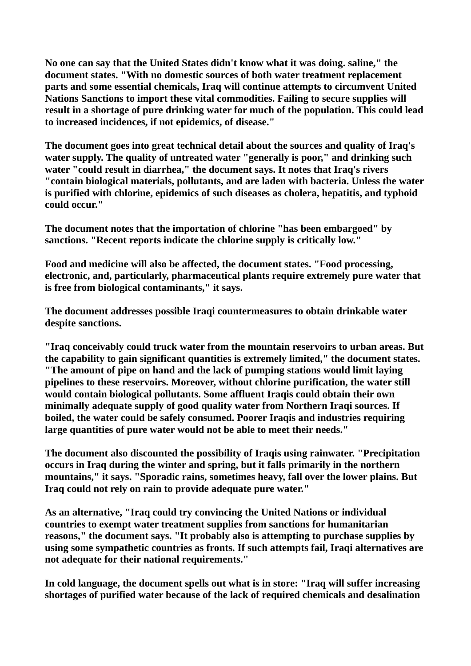**No one can say that the United States didn't know what it was doing. saline," the document states. "With no domestic sources of both water treatment replacement parts and some essential chemicals, Iraq will continue attempts to circumvent United Nations Sanctions to import these vital commodities. Failing to secure supplies will result in a shortage of pure drinking water for much of the population. This could lead to increased incidences, if not epidemics, of disease."** 

**The document goes into great technical detail about the sources and quality of Iraq's water supply. The quality of untreated water "generally is poor," and drinking such water "could result in diarrhea," the document says. It notes that Iraq's rivers "contain biological materials, pollutants, and are laden with bacteria. Unless the water is purified with chlorine, epidemics of such diseases as cholera, hepatitis, and typhoid could occur."** 

**The document notes that the importation of chlorine "has been embargoed" by sanctions. "Recent reports indicate the chlorine supply is critically low."** 

**Food and medicine will also be affected, the document states. "Food processing, electronic, and, particularly, pharmaceutical plants require extremely pure water that is free from biological contaminants," it says.** 

**The document addresses possible Iraqi countermeasures to obtain drinkable water despite sanctions.** 

**"Iraq conceivably could truck water from the mountain reservoirs to urban areas. But the capability to gain significant quantities is extremely limited," the document states. "The amount of pipe on hand and the lack of pumping stations would limit laying pipelines to these reservoirs. Moreover, without chlorine purification, the water still would contain biological pollutants. Some affluent Iraqis could obtain their own minimally adequate supply of good quality water from Northern Iraqi sources. If boiled, the water could be safely consumed. Poorer Iraqis and industries requiring large quantities of pure water would not be able to meet their needs."** 

**The document also discounted the possibility of Iraqis using rainwater. "Precipitation occurs in Iraq during the winter and spring, but it falls primarily in the northern mountains," it says. "Sporadic rains, sometimes heavy, fall over the lower plains. But Iraq could not rely on rain to provide adequate pure water."** 

**As an alternative, "Iraq could try convincing the United Nations or individual countries to exempt water treatment supplies from sanctions for humanitarian reasons," the document says. "It probably also is attempting to purchase supplies by using some sympathetic countries as fronts. If such attempts fail, Iraqi alternatives are not adequate for their national requirements."** 

**In cold language, the document spells out what is in store: "Iraq will suffer increasing shortages of purified water because of the lack of required chemicals and desalination**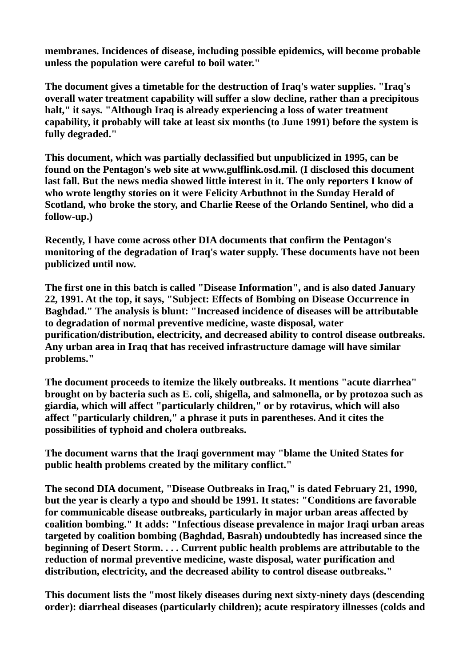**membranes. Incidences of disease, including possible epidemics, will become probable unless the population were careful to boil water."** 

**The document gives a timetable for the destruction of Iraq's water supplies. "Iraq's overall water treatment capability will suffer a slow decline, rather than a precipitous halt," it says. "Although Iraq is already experiencing a loss of water treatment capability, it probably will take at least six months (to June 1991) before the system is fully degraded."** 

**This document, which was partially declassified but unpublicized in 1995, can be found on the Pentagon's web site at www.gulflink.osd.mil. (I disclosed this document last fall. But the news media showed little interest in it. The only reporters I know of who wrote lengthy stories on it were Felicity Arbuthnot in the Sunday Herald of Scotland, who broke the story, and Charlie Reese of the Orlando Sentinel, who did a follow-up.)** 

**Recently, I have come across other DIA documents that confirm the Pentagon's monitoring of the degradation of Iraq's water supply. These documents have not been publicized until now.** 

**The first one in this batch is called "Disease Information", and is also dated January 22, 1991. At the top, it says, "Subject: Effects of Bombing on Disease Occurrence in Baghdad." The analysis is blunt: "Increased incidence of diseases will be attributable to degradation of normal preventive medicine, waste disposal, water purification/distribution, electricity, and decreased ability to control disease outbreaks. Any urban area in Iraq that has received infrastructure damage will have similar problems."** 

**The document proceeds to itemize the likely outbreaks. It mentions "acute diarrhea" brought on by bacteria such as E. coli, shigella, and salmonella, or by protozoa such as giardia, which will affect "particularly children," or by rotavirus, which will also affect "particularly children," a phrase it puts in parentheses. And it cites the possibilities of typhoid and cholera outbreaks.** 

**The document warns that the Iraqi government may "blame the United States for public health problems created by the military conflict."** 

**The second DIA document, "Disease Outbreaks in Iraq," is dated February 21, 1990, but the year is clearly a typo and should be 1991. It states: "Conditions are favorable for communicable disease outbreaks, particularly in major urban areas affected by coalition bombing." It adds: "Infectious disease prevalence in major Iraqi urban areas targeted by coalition bombing (Baghdad, Basrah) undoubtedly has increased since the beginning of Desert Storm. . . . Current public health problems are attributable to the reduction of normal preventive medicine, waste disposal, water purification and distribution, electricity, and the decreased ability to control disease outbreaks."** 

**This document lists the "most likely diseases during next sixty-ninety days (descending order): diarrheal diseases (particularly children); acute respiratory illnesses (colds and**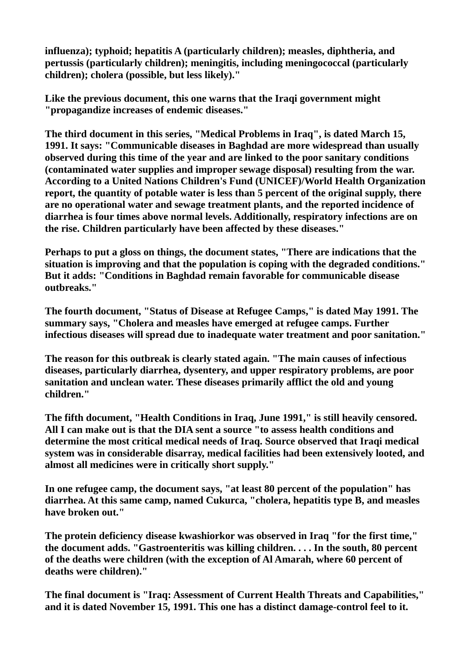**influenza); typhoid; hepatitis A (particularly children); measles, diphtheria, and pertussis (particularly children); meningitis, including meningococcal (particularly children); cholera (possible, but less likely)."** 

**Like the previous document, this one warns that the Iraqi government might "propagandize increases of endemic diseases."** 

**The third document in this series, "Medical Problems in Iraq", is dated March 15, 1991. It says: "Communicable diseases in Baghdad are more widespread than usually observed during this time of the year and are linked to the poor sanitary conditions (contaminated water supplies and improper sewage disposal) resulting from the war. According to a United Nations Children's Fund (UNICEF)/World Health Organization report, the quantity of potable water is less than 5 percent of the original supply, there are no operational water and sewage treatment plants, and the reported incidence of diarrhea is four times above normal levels. Additionally, respiratory infections are on the rise. Children particularly have been affected by these diseases."** 

**Perhaps to put a gloss on things, the document states, "There are indications that the situation is improving and that the population is coping with the degraded conditions." But it adds: "Conditions in Baghdad remain favorable for communicable disease outbreaks."** 

**The fourth document, "Status of Disease at Refugee Camps," is dated May 1991. The summary says, "Cholera and measles have emerged at refugee camps. Further infectious diseases will spread due to inadequate water treatment and poor sanitation."**

**The reason for this outbreak is clearly stated again. "The main causes of infectious diseases, particularly diarrhea, dysentery, and upper respiratory problems, are poor sanitation and unclean water. These diseases primarily afflict the old and young children."** 

**The fifth document, "Health Conditions in Iraq, June 1991," is still heavily censored. All I can make out is that the DIA sent a source "to assess health conditions and determine the most critical medical needs of Iraq. Source observed that Iraqi medical system was in considerable disarray, medical facilities had been extensively looted, and almost all medicines were in critically short supply."** 

**In one refugee camp, the document says, "at least 80 percent of the population" has diarrhea. At this same camp, named Cukurca, "cholera, hepatitis type B, and measles have broken out."** 

**The protein deficiency disease kwashiorkor was observed in Iraq "for the first time," the document adds. "Gastroenteritis was killing children. . . . In the south, 80 percent of the deaths were children (with the exception of Al Amarah, where 60 percent of deaths were children)."** 

**The final document is "Iraq: Assessment of Current Health Threats and Capabilities," and it is dated November 15, 1991. This one has a distinct damage-control feel to it.**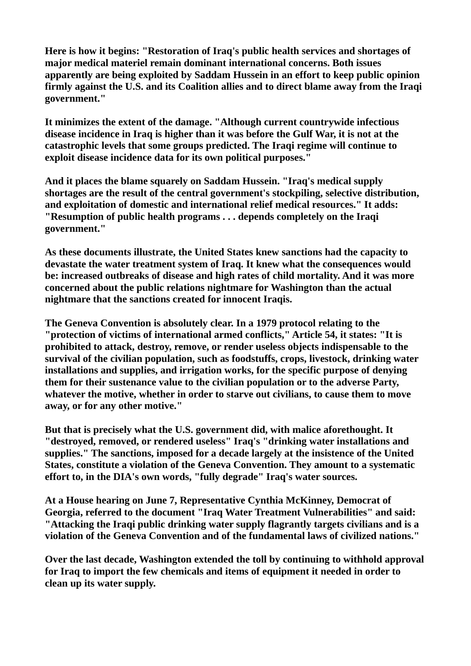**Here is how it begins: "Restoration of Iraq's public health services and shortages of major medical materiel remain dominant international concerns. Both issues apparently are being exploited by Saddam Hussein in an effort to keep public opinion firmly against the U.S. and its Coalition allies and to direct blame away from the Iraqi government."** 

**It minimizes the extent of the damage. "Although current countrywide infectious disease incidence in Iraq is higher than it was before the Gulf War, it is not at the catastrophic levels that some groups predicted. The Iraqi regime will continue to exploit disease incidence data for its own political purposes."** 

**And it places the blame squarely on Saddam Hussein. "Iraq's medical supply shortages are the result of the central government's stockpiling, selective distribution, and exploitation of domestic and international relief medical resources." It adds: "Resumption of public health programs . . . depends completely on the Iraqi government."** 

**As these documents illustrate, the United States knew sanctions had the capacity to devastate the water treatment system of Iraq. It knew what the consequences would be: increased outbreaks of disease and high rates of child mortality. And it was more concerned about the public relations nightmare for Washington than the actual nightmare that the sanctions created for innocent Iraqis.** 

**The Geneva Convention is absolutely clear. In a 1979 protocol relating to the "protection of victims of international armed conflicts," Article 54, it states: "It is prohibited to attack, destroy, remove, or render useless objects indispensable to the survival of the civilian population, such as foodstuffs, crops, livestock, drinking water installations and supplies, and irrigation works, for the specific purpose of denying them for their sustenance value to the civilian population or to the adverse Party, whatever the motive, whether in order to starve out civilians, to cause them to move away, or for any other motive."** 

**But that is precisely what the U.S. government did, with malice aforethought. It "destroyed, removed, or rendered useless" Iraq's "drinking water installations and supplies." The sanctions, imposed for a decade largely at the insistence of the United States, constitute a violation of the Geneva Convention. They amount to a systematic effort to, in the DIA's own words, "fully degrade" Iraq's water sources.** 

**At a House hearing on June 7, Representative Cynthia McKinney, Democrat of Georgia, referred to the document "Iraq Water Treatment Vulnerabilities" and said: "Attacking the Iraqi public drinking water supply flagrantly targets civilians and is a violation of the Geneva Convention and of the fundamental laws of civilized nations."** 

**Over the last decade, Washington extended the toll by continuing to withhold approval for Iraq to import the few chemicals and items of equipment it needed in order to clean up its water supply.**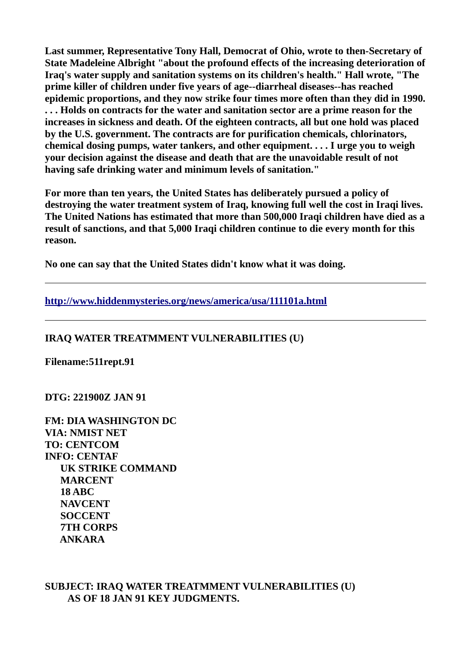**Last summer, Representative Tony Hall, Democrat of Ohio, wrote to then-Secretary of State Madeleine Albright "about the profound effects of the increasing deterioration of Iraq's water supply and sanitation systems on its children's health." Hall wrote, "The prime killer of children under five years of age--diarrheal diseases--has reached epidemic proportions, and they now strike four times more often than they did in 1990. . . . Holds on contracts for the water and sanitation sector are a prime reason for the increases in sickness and death. Of the eighteen contracts, all but one hold was placed by the U.S. government. The contracts are for purification chemicals, chlorinators, chemical dosing pumps, water tankers, and other equipment. . . . I urge you to weigh your decision against the disease and death that are the unavoidable result of not having safe drinking water and minimum levels of sanitation."** 

**For more than ten years, the United States has deliberately pursued a policy of destroying the water treatment system of Iraq, knowing full well the cost in Iraqi lives. The United Nations has estimated that more than 500,000 Iraqi children have died as a result of sanctions, and that 5,000 Iraqi children continue to die every month for this reason.** 

**No one can say that the United States didn't know what it was doing.** 

**<http://www.hiddenmysteries.org/news/america/usa/111101a.html>**

# **IRAQ WATER TREATMMENT VULNERABILITIES (U)**

**Filename:511rept.91**

**DTG: 221900Z JAN 91**

**FM: DIA WASHINGTON DC VIA: NMIST NET TO: CENTCOM INFO: CENTAF UK STRIKE COMMAND MARCENT 18 ABC NAVCENT SOCCENT 7TH CORPS ANKARA**

**SUBJECT: IRAQ WATER TREATMMENT VULNERABILITIES (U) AS OF 18 JAN 91 KEY JUDGMENTS.**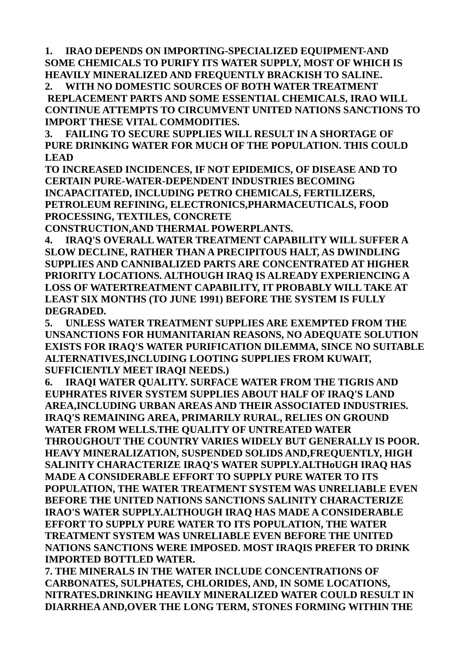**1. IRAO DEPENDS ON IMPORTING-SPECIALIZED EQUIPMENT-AND SOME CHEMICALS TO PURIFY ITS WATER SUPPLY, MOST OF WHICH IS HEAVILY MINERALIZED AND FREQUENTLY BRACKISH TO SALINE.**

**2. WITH NO DOMESTIC SOURCES OF BOTH WATER TREATMENT REPLACEMENT PARTS AND SOME ESSENTIAL CHEMICALS, IRAO WILL CONTINUE ATTEMPTS TO CIRCUMVENT UNITED NATIONS SANCTIONS TO IMPORT THESE VITAL COMMODITIES.**

**3. FAILING TO SECURE SUPPLIES WILL RESULT IN A SHORTAGE OF PURE DRINKING WATER FOR MUCH OF THE POPULATION. THIS COULD LEAD**

**TO INCREASED INCIDENCES, IF NOT EPIDEMICS, OF DISEASE AND TO CERTAIN PURE-WATER-DEPENDENT INDUSTRIES BECOMING INCAPACITATED, INCLUDING PETRO CHEMICALS, FERTILIZERS, PETROLEUM REFINING, ELECTRONICS,PHARMACEUTICALS, FOOD PROCESSING, TEXTILES, CONCRETE**

**CONSTRUCTION,AND THERMAL POWERPLANTS.**

**4. IRAQ'S OVERALL WATER TREATMENT CAPABILITY WILL SUFFER A SLOW DECLINE, RATHER THAN A PRECIPITOUS HALT, AS DWINDLING SUPPLIES AND CANNIBALIZED PARTS ARE CONCENTRATED AT HIGHER PRIORITY LOCATIONS. ALTHOUGH IRAQ IS ALREADY EXPERIENCING A LOSS OF WATERTREATMENT CAPABILITY, IT PROBABLY WILL TAKE AT LEAST SIX MONTHS (TO JUNE 1991) BEFORE THE SYSTEM IS FULLY DEGRADED.**

**5. UNLESS WATER TREATMENT SUPPLIES ARE EXEMPTED FROM THE UNSANCTIONS FOR HUMANITARIAN REASONS, NO ADEQUATE SOLUTION EXISTS FOR IRAQ'S WATER PURIFICATION DILEMMA, SINCE NO SUITABLE ALTERNATIVES,INCLUDING LOOTING SUPPLIES FROM KUWAIT, SUFFICIENTLY MEET IRAQI NEEDS.)**

**6. IRAQI WATER QUALITY. SURFACE WATER FROM THE TIGRIS AND EUPHRATES RIVER SYSTEM SUPPLIES ABOUT HALF OF IRAQ'S LAND AREA,INCLUDING URBAN AREAS AND THEIR ASSOCIATED INDUSTRIES. IRAQ'S REMAINING AREA, PRIMARILY RURAL, RELIES ON GROUND WATER FROM WELLS.THE QUALITY OF UNTREATED WATER THROUGHOUT THE COUNTRY VARIES WIDELY BUT GENERALLY IS POOR. HEAVY MINERALIZATION, SUSPENDED SOLIDS AND,FREQUENTLY, HIGH SALINITY CHARACTERIZE IRAQ'S WATER SUPPLY.ALTHoUGH IRAQ HAS MADE A CONSIDERABLE EFFORT TO SUPPLY PURE WATER TO ITS POPULATION, THE WATER TREATMENT SYSTEM WAS UNRELIABLE EVEN BEFORE THE UNITED NATIONS SANCTIONS SALINITY CHARACTERIZE IRAO'S WATER SUPPLY.ALTHOUGH IRAQ HAS MADE A CONSIDERABLE EFFORT TO SUPPLY PURE WATER TO ITS POPULATION, THE WATER TREATMENT SYSTEM WAS UNRELIABLE EVEN BEFORE THE UNITED NATIONS SANCTIONS WERE IMPOSED. MOST IRAQIS PREFER TO DRINK IMPORTED BOTTLED WATER.**

**7. THE MINERALS IN THE WATER INCLUDE CONCENTRATIONS OF CARBONATES, SULPHATES, CHLORIDES, AND, IN SOME LOCATIONS, NITRATES.DRINKING HEAVILY MINERALIZED WATER COULD RESULT IN DIARRHEA AND,OVER THE LONG TERM, STONES FORMING WITHIN THE**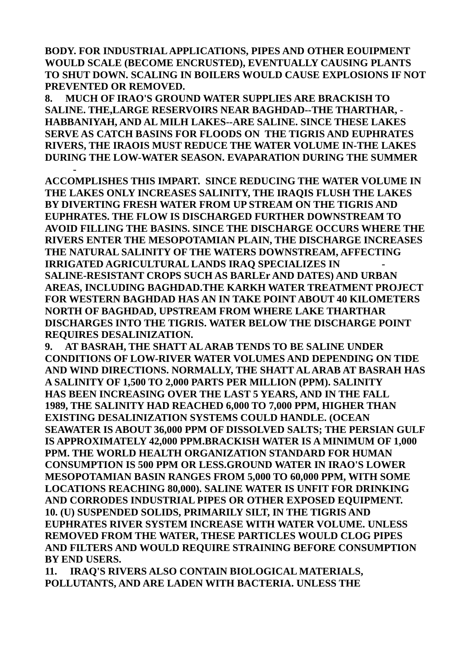**BODY. FOR INDUSTRIAL APPLICATIONS, PIPES AND OTHER EOUIPMENT WOULD SCALE (BECOME ENCRUSTED), EVENTUALLY CAUSING PLANTS TO SHUT DOWN. SCALING IN BOILERS WOULD CAUSE EXPLOSIONS IF NOT PREVENTED OR REMOVED.**

**8. MUCH OF IRAO'S GROUND WATER SUPPLIES ARE BRACKISH TO SALINE. THE,LARGE RESERVOIRS NEAR BAGHDAD--THE THARTHAR, - HABBANIYAH, AND AL MILH LAKES--ARE SALINE. SINCE THESE LAKES SERVE AS CATCH BASINS FOR FLOODS ON THE TIGRIS AND EUPHRATES RIVERS, THE IRAOIS MUST REDUCE THE WATER VOLUME IN-THE LAKES DURING THE LOW-WATER SEASON. EVAPARATlON DURING THE SUMMER**

**- ACCOMPLISHES THIS IMPART. SINCE REDUCING THE WATER VOLUME IN THE LAKES ONLY INCREASES SALINITY, THE IRAQIS FLUSH THE LAKES BY DIVERTING FRESH WATER FROM UP STREAM ON THE TIGRIS AND EUPHRATES. THE FLOW IS DISCHARGED FURTHER DOWNSTREAM TO AVOID FILLING THE BASINS. SINCE THE DISCHARGE OCCURS WHERE THE RIVERS ENTER THE MESOPOTAMIAN PLAIN, THE DISCHARGE INCREASES THE NATURAL SALINITY OF THE WATERS DOWNSTREAM, AFFECTING IRRIGATED AGRICULTURAL LANDS IRAQ SPECIALIZES IN - SALINE-RESISTANT CROPS SUCH AS BARLEr AND DATES) AND URBAN AREAS, INCLUDING BAGHDAD.THE KARKH WATER TREATMENT PROJECT FOR WESTERN BAGHDAD HAS AN IN TAKE POINT ABOUT 40 KILOMETERS NORTH OF BAGHDAD, UPSTREAM FROM WHERE LAKE THARTHAR DISCHARGES INTO THE TIGRIS. WATER BELOW THE DISCHARGE POINT REQUIRES DESALINIZATION.**

**9. AT BASRAH, THE SHATT AL ARAB TENDS TO BE SALINE UNDER CONDITIONS OF LOW-RIVER WATER VOLUMES AND DEPENDING ON TIDE AND WIND DIRECTIONS. NORMALLY, THE SHATT AL ARAB AT BASRAH HAS A SALINITY OF 1,500 TO 2,000 PARTS PER MILLION (PPM). SALINITY HAS BEEN INCREASING OVER THE LAST 5 YEARS, AND IN THE FALL 1989, THE SALINITY HAD REACHED 6,000 TO 7,000 PPM, HIGHER THAN EXISTING DESALINIZATION SYSTEMS COULD HANDLE. (OCEAN SEAWATER IS ABOUT 36,000 PPM OF DISSOLVED SALTS; THE PERSIAN GULF IS APPROXIMATELY 42,000 PPM.BRACKISH WATER IS A MINIMUM OF 1,000 PPM. THE WORLD HEALTH ORGANIZATION STANDARD FOR HUMAN CONSUMPTION IS 500 PPM OR LESS.GROUND WATER IN IRAO'S LOWER MESOPOTAMIAN BASIN RANGES FROM 5,000 TO 60,000 PPM, WITH SOME LOCATIONS REACHING 80,000). SALINE WATER IS UNFIT FOR DRINKING AND CORRODES INDUSTRIAL PIPES OR OTHER EXPOSED EQUIPMENT. 10. (U) SUSPENDED SOLIDS, PRIMARILY SILT, IN THE TIGRIS AND EUPHRATES RIVER SYSTEM INCREASE WITH WATER VOLUME. UNLESS REMOVED FROM THE WATER, THESE PARTICLES WOULD CLOG PIPES AND FILTERS AND WOULD REQUIRE STRAINING BEFORE CONSUMPTION BY END USERS.**

**11. IRAQ'S RIVERS ALSO CONTAIN BIOLOGICAL MATERIALS, POLLUTANTS, AND ARE LADEN WITH BACTERIA. UNLESS THE**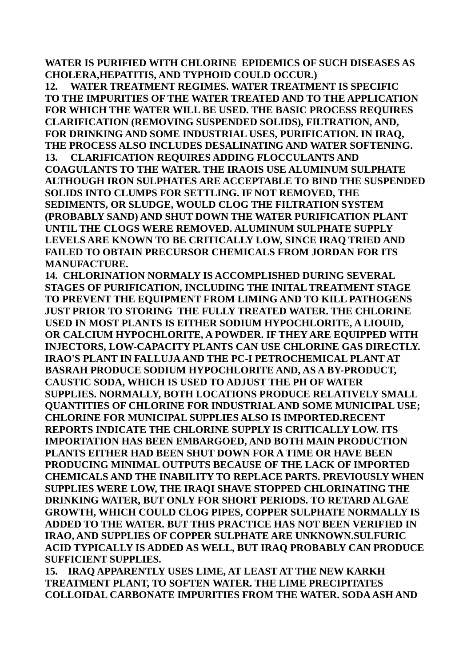**WATER IS PURIFIED WITH CHLORINE EPIDEMICS OF SUCH DISEASES AS CHOLERA,HEPATITIS, AND TYPHOID COULD OCCUR.)**

**12. WATER TREATMENT REGIMES. WATER TREATMENT IS SPECIFIC TO THE IMPURITIES OF THE WATER TREATED AND TO THE APPLICATION FOR WHICH THE WATER WILL BE USED. THE BASIC PROCESS REQUIRES CLARIFICATION (REMOVING SUSPENDED SOLIDS), FILTRATION, AND, FOR DRINKING AND SOME INDUSTRIAL USES, PURIFICATION. IN IRAQ, THE PROCESS ALSO INCLUDES DESALINATING AND WATER SOFTENING. 13. CLARIFICATION REQUIRES ADDING FLOCCULANTS AND COAGULANTS TO THE WATER. THE IRAOIS USE ALUMINUM SULPHATE ALTHOUGH IRON SULPHATES ARE ACCEPTABLE TO BIND THE SUSPENDED SOLIDS INTO CLUMPS FOR SETTLING. IF NOT REMOVED, THE SEDIMENTS, OR SLUDGE, WOULD CLOG THE FILTRATION SYSTEM (PROBABLY SAND) AND SHUT DOWN THE WATER PURIFICATION PLANT UNTIL THE CLOGS WERE REMOVED. ALUMINUM SULPHATE SUPPLY LEVELS ARE KNOWN TO BE CRITICALLY LOW, SINCE IRAQ TRIED AND FAILED TO OBTAIN PRECURSOR CHEMICALS FROM JORDAN FOR ITS MANUFACTURE.**

**14. CHLORINATION NORMALY IS ACCOMPLISHED DURING SEVERAL STAGES OF PURIFICATION, INCLUDING THE INITAL TREATMENT STAGE TO PREVENT THE EQUIPMENT FROM LIMING AND TO KILL PATHOGENS JUST PRIOR TO STORING THE FULLY TREATED WATER. THE CHLORINE USED IN MOST PLANTS IS EITHER SODIUM HYPOCHLORITE, A LIOUID, OR CALCIUM HYPOCHLORITE, A POWDER. IF THEY ARE EQUIPPED WITH INJECTORS, LOW-CAPACITY PLANTS CAN USE CHLORINE GAS DIRECTLY. IRAO'S PLANT IN FALLUJA AND THE PC-I PETROCHEMICAL PLANT AT BASRAH PRODUCE SODIUM HYPOCHLORITE AND, AS A BY-PRODUCT, CAUSTIC SODA, WHICH IS USED TO ADJUST THE PH OF WATER SUPPLIES. NORMALLY, BOTH LOCATIONS PRODUCE RELATIVELY SMALL QUANTITIES OF CHLORINE FOR INDUSTRIAL AND SOME MUNICIPAL USE; CHLORINE FOR MUNICIPAL SUPPLIES ALSO IS IMPORTED.RECENT REPORTS INDICATE THE CHLORINE SUPPLY IS CRITICALLY LOW. ITS IMPORTATION HAS BEEN EMBARGOED, AND BOTH MAIN PRODUCTION PLANTS EITHER HAD BEEN SHUT DOWN FOR A TIME OR HAVE BEEN PRODUCING MINIMAL OUTPUTS BECAUSE OF THE LACK OF IMPORTED CHEMICALS AND THE INABILITY TO REPLACE PARTS. PREVIOUSLY WHEN SUPPLIES WERE LOW, THE IRAQI SHAVE STOPPED CHLORINATING THE DRINKING WATER, BUT ONLY FOR SHORT PERIODS. TO RETARD ALGAE GROWTH, WHICH COULD CLOG PIPES, COPPER SULPHATE NORMALLY IS ADDED TO THE WATER. BUT THIS PRACTICE HAS NOT BEEN VERIFIED IN IRAO, AND SUPPLIES OF COPPER SULPHATE ARE UNKNOWN.SULFURIC ACID TYPICALLY IS ADDED AS WELL, BUT IRAQ PROBABLY CAN PRODUCE SUFFICIENT SUPPLIES.**

**15. IRAQ APPARENTLY USES LIME, AT LEAST AT THE NEW KARKH TREATMENT PLANT, TO SOFTEN WATER. THE LIME PRECIPITATES COLLOIDAL CARBONATE IMPURITIES FROM THE WATER. SODA ASH AND**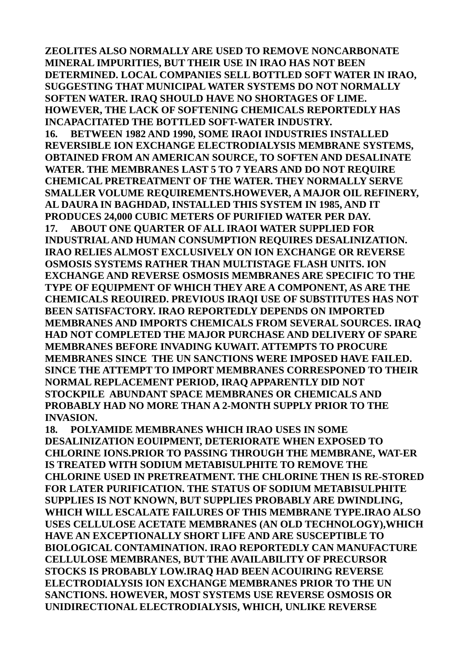**ZEOLITES ALSO NORMALLY ARE USED TO REMOVE NONCARBONATE MINERAL IMPURITIES, BUT THEIR USE IN IRAO HAS NOT BEEN DETERMINED. LOCAL COMPANIES SELL BOTTLED SOFT WATER IN IRAO, SUGGESTING THAT MUNICIPAL WATER SYSTEMS DO NOT NORMALLY SOFTEN WATER. IRAQ SHOULD HAVE NO SHORTAGES OF LIME. HOWEVER, THE LACK OF SOFTENING CHEMICALS REPORTEDLY HAS INCAPACITATED THE BOTTLED SOFT-WATER INDUSTRY. 16. BETWEEN 1982 AND 1990, SOME IRAOI INDUSTRIES INSTALLED REVERSIBLE ION EXCHANGE ELECTRODIALYSIS MEMBRANE SYSTEMS, OBTAINED FROM AN AMERICAN SOURCE, TO SOFTEN AND DESALINATE WATER. THE MEMBRANES LAST 5 TO 7 YEARS AND DO NOT REQUIRE CHEMICAL PRETREATMENT OF THE WATER. THEY NORMALLY SERVE SMALLER VOLUME REQUIREMENTS.HOWEVER, A MAJOR OIL REFINERY, AL DAURA IN BAGHDAD, INSTALLED THIS SYSTEM IN 1985, AND IT PRODUCES 24,000 CUBIC METERS OF PURIFIED WATER PER DAY. 17. ABOUT ONE QUARTER OF ALL IRAOI WATER SUPPLIED FOR INDUSTRIAL AND HUMAN CONSUMPTION REQUIRES DESALINIZATION. IRAO RELIES ALMOST EXCLUSIVELY ON ION EXCHANGE OR REVERSE OSMOSIS SYSTEMS RATHER THAN MULTISTAGE FLASH UNITS. ION EXCHANGE AND REVERSE OSMOSIS MEMBRANES ARE SPECIFIC TO THE TYPE OF EQUIPMENT OF WHICH THEY ARE A COMPONENT, AS ARE THE CHEMICALS REOUIRED. PREVIOUS IRAQI USE OF SUBSTITUTES HAS NOT BEEN SATISFACTORY. IRAO REPORTEDLY DEPENDS ON IMPORTED MEMBRANES AND IMPORTS CHEMICALS FROM SEVERAL SOURCES. IRAQ HAD NOT COMPLETED THE MAJOR PURCHASE AND DELIVERY OF SPARE MEMBRANES BEFORE INVADING KUWAIT. ATTEMPTS TO PROCURE MEMBRANES SINCE THE UN SANCTIONS WERE IMPOSED HAVE FAILED. SINCE THE ATTEMPT TO IMPORT MEMBRANES CORRESPONED TO THEIR NORMAL REPLACEMENT PERIOD, IRAQ APPARENTLY DID NOT STOCKPILE ABUNDANT SPACE MEMBRANES OR CHEMICALS AND PROBABLY HAD NO MORE THAN A 2-MONTH SUPPLY PRIOR TO THE INVASION.** 

**18. POLYAMIDE MEMBRANES WHICH IRAO USES IN SOME DESALINIZATION EOUIPMENT, DETERIORATE WHEN EXPOSED TO CHLORINE IONS.PRIOR TO PASSING THROUGH THE MEMBRANE, WAT-ER IS TREATED WITH SODIUM METABISULPHITE TO REMOVE THE CHLORINE USED IN PRETREATMENT. THE CHLORINE THEN IS RE-STORED FOR LATER PURIFICATION. THE STATUS OF SODIUM METABISULPHITE SUPPLIES IS NOT KNOWN, BUT SUPPLIES PROBABLY ARE DWINDLING, WHICH WILL ESCALATE FAILURES OF THIS MEMBRANE TYPE.IRAO ALSO USES CELLULOSE ACETATE MEMBRANES (AN OLD TECHNOLOGY),WHICH HAVE AN EXCEPTIONALLY SHORT LIFE AND ARE SUSCEPTIBLE TO BIOLOGICAL CONTAMINATION. IRAO REPORTEDLY CAN MANUFACTURE CELLULOSE MEMBRANES, BUT THE AVAILABILITY OF PRECURSOR STOCKS IS PROBABLY LOW.IRAQ HAD BEEN ACOUIRING REVERSE ELECTRODIALYSIS ION EXCHANGE MEMBRANES PRIOR TO THE UN SANCTIONS. HOWEVER, MOST SYSTEMS USE REVERSE OSMOSIS OR UNIDIRECTIONAL ELECTRODIALYSIS, WHICH, UNLIKE REVERSE**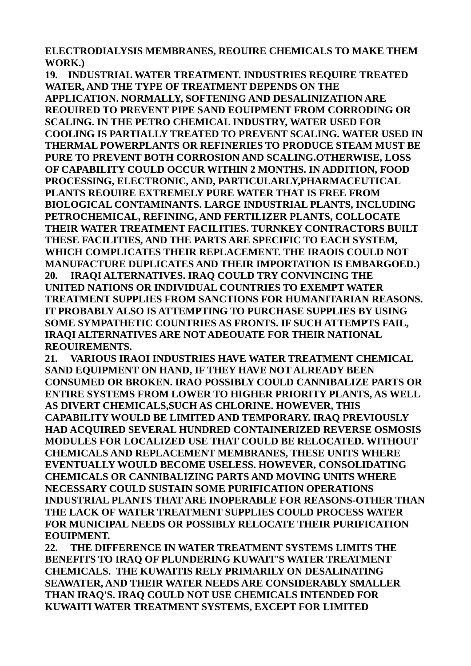**ELECTRODIALYSIS MEMBRANES, REOUIRE CHEMICALS TO MAKE THEM WORK.)**

**19. INDUSTRIAL WATER TREATMENT. INDUSTRIES REQUIRE TREATED WATER, AND THE TYPE OF TREATMENT DEPENDS ON THE APPLICATION. NORMALLY, SOFTENING AND DESALINIZATION ARE REOUIRED TO PREVENT PIPE SAND EOUIPMENT FROM CORRODING OR SCALING. IN THE PETRO CHEMICAL INDUSTRY, WATER USED FOR COOLING IS PARTIALLY TREATED TO PREVENT SCALING. WATER USED IN THERMAL POWERPLANTS OR REFINERIES TO PRODUCE STEAM MUST BE PURE TO PREVENT BOTH CORROSION AND SCALING.OTHERWISE, LOSS OF CAPABILITY COULD OCCUR WITHIN 2 MONTHS. IN ADDITION, FOOD PROCESSING, ELECTRONIC, AND, PARTICULARLY,PHARMACEUTICAL PLANTS REOUIRE EXTREMELY PURE WATER THAT IS FREE FROM BIOLOGICAL CONTAMINANTS. LARGE INDUSTRIAL PLANTS, INCLUDING PETROCHEMICAL, REFINING, AND FERTILIZER PLANTS, COLLOCATE THEIR WATER TREATMENT FACILITIES. TURNKEY CONTRACTORS BUILT THESE FACILITIES, AND THE PARTS ARE SPECIFIC TO EACH SYSTEM, WHICH COMPLICATES THEIR REPLACEMENT. THE IRAOIS COULD NOT MANUFACTURE DUPLICATES AND THEIR IMPORTATION IS EMBARGOED.) 20. IRAQI ALTERNATIVES. IRAQ COULD TRY CONVINCING THE UNITED NATIONS OR INDIVIDUAL COUNTRIES TO EXEMPT WATER TREATMENT SUPPLIES FROM SANCTIONS FOR HUMANITARIAN REASONS. IT PROBABLY ALSO IS ATTEMPTING TO PURCHASE SUPPLIES BY USING SOME SYMPATHETIC COUNTRIES AS FRONTS. IF SUCH ATTEMPTS FAIL, IRAQI ALTERNATIVES ARE NOT ADEOUATE FOR THEIR NATIONAL REOUIREMENTS.**

**21. VARIOUS IRAOI INDUSTRIES HAVE WATER TREATMENT CHEMICAL SAND EQUIPMENT ON HAND, IF THEY HAVE NOT ALREADY BEEN CONSUMED OR BROKEN. IRAO POSSIBLY COULD CANNIBALIZE PARTS OR ENTIRE SYSTEMS FROM LOWER TO HIGHER PRIORITY PLANTS, AS WELL AS DIVERT CHEMICALS,SUCH AS CHLORINE. HOWEVER, THIS CAPABILITY WOULD BE LIMITED AND TEMPORARY. IRAQ PREVIOUSLY HAD ACQUIRED SEVERAL HUNDRED CONTAINERIZED REVERSE OSMOSIS MODULES FOR LOCALIZED USE THAT COULD BE RELOCATED. WITHOUT CHEMICALS AND REPLACEMENT MEMBRANES, THESE UNITS WHERE EVENTUALLY WOULD BECOME USELESS. HOWEVER, CONSOLIDATING CHEMICALS OR CANNIBALIZING PARTS AND MOVING UNITS WHERE NECESSARY COULD SUSTAIN SOME PURIFICATION OPERATIONS INDUSTRIAL PLANTS THAT ARE INOPERABLE FOR REASONS-OTHER THAN THE LACK OF WATER TREATMENT SUPPLIES COULD PROCESS WATER FOR MUNICIPAL NEEDS OR POSSIBLY RELOCATE THEIR PURIFICATION EOUIPMENT.**

**22. THE DIFFERENCE IN WATER TREATMENT SYSTEMS LIMITS THE BENEFITS TO IRAQ OF PLUNDERING KUWAIT'S WATER TREATMENT CHEMICALS. THE KUWAITIS RELY PRIMARILY ON DESALINATING SEAWATER, AND THEIR WATER NEEDS ARE CONSIDERABLY SMALLER THAN IRAQ'S. IRAQ COULD NOT USE CHEMICALS INTENDED FOR KUWAITI WATER TREATMENT SYSTEMS, EXCEPT FOR LIMITED**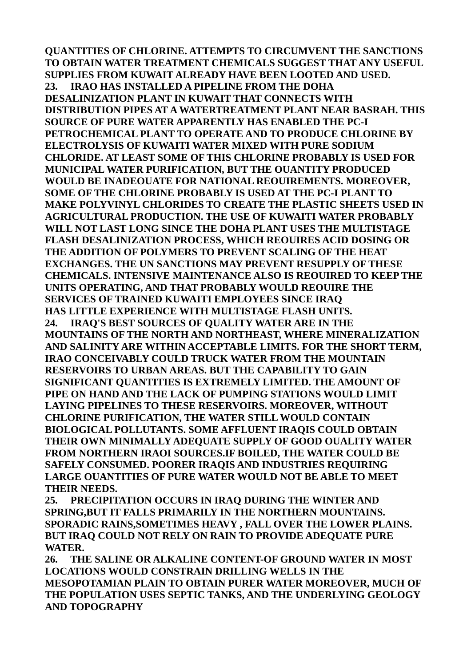**QUANTITIES OF CHLORINE. ATTEMPTS TO CIRCUMVENT THE SANCTIONS TO OBTAIN WATER TREATMENT CHEMICALS SUGGEST THAT ANY USEFUL SUPPLIES FROM KUWAIT ALREADY HAVE BEEN LOOTED AND USED. 23. IRAO HAS INSTALLED A PIPELINE FROM THE DOHA DESALINIZATION PLANT IN KUWAIT THAT CONNECTS WITH DISTRIBUTION PIPES AT A WATERTREATMENT PLANT NEAR BASRAH. THIS SOURCE OF PURE WATER APPARENTLY HAS ENABLED THE PC-I PETROCHEMICAL PLANT TO OPERATE AND TO PRODUCE CHLORINE BY ELECTROLYSIS OF KUWAITI WATER MIXED WITH PURE SODIUM CHLORIDE. AT LEAST SOME OF THIS CHLORINE PROBABLY IS USED FOR MUNICIPAL WATER PURIFICATION, BUT THE OUANTITY PRODUCED WOULD BE INADEOUATE FOR NATIONAL REOUIREMENTS. MOREOVER, SOME OF THE CHLORINE PROBABLY IS USED AT THE PC-I PLANT TO MAKE POLYVINYL CHLORIDES TO CREATE THE PLASTIC SHEETS USED IN AGRICULTURAL PRODUCTION. THE USE OF KUWAITI WATER PROBABLY WILL NOT LAST LONG SINCE THE DOHA PLANT USES THE MULTISTAGE FLASH DESALINIZATION PROCESS, WHICH REOUIRES ACID DOSING OR THE ADDITION OF POLYMERS TO PREVENT SCALING OF THE HEAT EXCHANGES. THE UN SANCTIONS MAY PREVENT RESUPPLY OF THESE CHEMICALS. INTENSIVE MAINTENANCE ALSO IS REOUIRED TO KEEP THE UNITS OPERATING, AND THAT PROBABLY WOULD REOUIRE THE SERVICES OF TRAINED KUWAITI EMPLOYEES SINCE IRAQ HAS LITTLE EXPERIENCE WITH MULTISTAGE FLASH UNITS. 24. IRAQ'S BEST SOURCES OF QUALITY WATER ARE IN THE MOUNTAINS OF THE NORTH AND NORTHEAST, WHERE MINERALIZATION AND SALINITY ARE WITHIN ACCEPTABLE LIMITS. FOR THE SHORT TERM, IRAO CONCEIVABLY COULD TRUCK WATER FROM THE MOUNTAIN RESERVOIRS TO URBAN AREAS. BUT THE CAPABILITY TO GAIN SIGNIFICANT QUANTITIES IS EXTREMELY LIMITED. THE AMOUNT OF PIPE ON HAND AND THE LACK OF PUMPING STATIONS WOULD LIMIT LAYING PIPELINES TO THESE RESERVOIRS. MOREOVER, WITHOUT CHLORINE PURIFICATION, THE WATER STILL WOULD CONTAIN BIOLOGICAL POLLUTANTS. SOME AFFLUENT IRAQIS COULD OBTAIN THEIR OWN MINIMALLY ADEQUATE SUPPLY OF GOOD OUALITY WATER FROM NORTHERN IRAOI SOURCES.IF BOILED, THE WATER COULD BE SAFELY CONSUMED. POORER IRAQIS AND INDUSTRIES REQUIRING LARGE OUANTITIES OF PURE WATER WOULD NOT BE ABLE TO MEET THEIR NEEDS.**

**25. PRECIPITATION OCCURS IN IRAQ DURING THE WINTER AND SPRING,BUT IT FALLS PRIMARILY IN THE NORTHERN MOUNTAINS. SPORADIC RAINS,SOMETIMES HEAVY , FALL OVER THE LOWER PLAINS. BUT IRAQ COULD NOT RELY ON RAIN TO PROVIDE ADEQUATE PURE WATER.**

**26. THE SALINE OR ALKALINE CONTENT-OF GROUND WATER IN MOST LOCATIONS WOULD CONSTRAIN DRILLING WELLS IN THE MESOPOTAMIAN PLAIN TO OBTAIN PURER WATER MOREOVER, MUCH OF THE POPULATION USES SEPTIC TANKS, AND THE UNDERLYING GEOLOGY AND TOPOGRAPHY**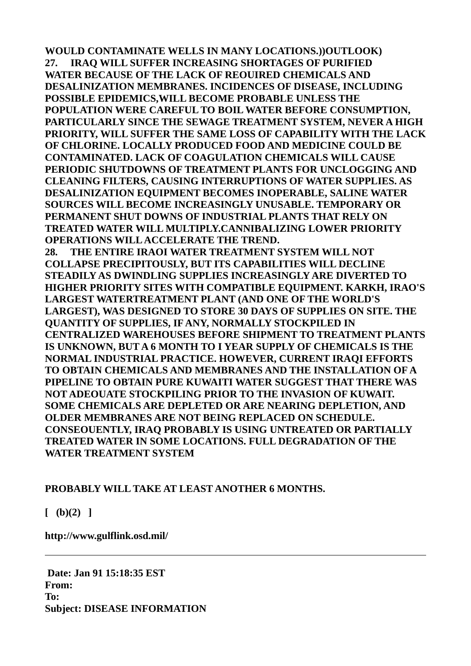**WOULD CONTAMINATE WELLS IN MANY LOCATIONS.))OUTLOOK) 27. IRAQ WILL SUFFER INCREASING SHORTAGES OF PURIFIED WATER BECAUSE OF THE LACK OF REOUIRED CHEMICALS AND DESALINIZATION MEMBRANES. INCIDENCES OF DISEASE, INCLUDING POSSIBLE EPIDEMICS,WILL BECOME PROBABLE UNLESS THE POPULATION WERE CAREFUL TO BOIL WATER BEFORE CONSUMPTION, PARTICULARLY SINCE THE SEWAGE TREATMENT SYSTEM, NEVER A HIGH PRIORITY, WILL SUFFER THE SAME LOSS OF CAPABILITY WITH THE LACK OF CHLORINE. LOCALLY PRODUCED FOOD AND MEDICINE COULD BE CONTAMINATED. LACK OF COAGULATION CHEMICALS WILL CAUSE PERIODIC SHUTDOWNS OF TREATMENT PLANTS FOR UNCLOGGING AND CLEANING FILTERS, CAUSING INTERRUPTIONS OF WATER SUPPLIES. AS DESALINIZATION EQUIPMENT BECOMES INOPERABLE, SALINE WATER SOURCES WILL BECOME INCREASINGLY UNUSABLE. TEMPORARY OR PERMANENT SHUT DOWNS OF INDUSTRIAL PLANTS THAT RELY ON TREATED WATER WILL MULTIPLY.CANNIBALIZING LOWER PRIORITY OPERATIONS WILL ACCELERATE THE TREND.**

**28. THE ENTIRE IRAOI WATER TREATMENT SYSTEM WILL NOT COLLAPSE PRECIPITOUSLY, BUT ITS CAPABILITIES WILL DECLINE STEADILY AS DWINDLING SUPPLIES INCREASINGLY ARE DIVERTED TO HIGHER PRIORITY SITES WITH COMPATIBLE EQUIPMENT. KARKH, IRAO'S LARGEST WATERTREATMENT PLANT (AND ONE OF THE WORLD'S LARGEST), WAS DESIGNED TO STORE 30 DAYS OF SUPPLIES ON SITE. THE QUANTITY OF SUPPLIES, IF ANY, NORMALLY STOCKPILED IN CENTRALIZED WAREHOUSES BEFORE SHIPMENT TO TREATMENT PLANTS IS UNKNOWN, BUT A 6 MONTH TO I YEAR SUPPLY OF CHEMICALS IS THE NORMAL INDUSTRIAL PRACTICE. HOWEVER, CURRENT IRAQI EFFORTS TO OBTAIN CHEMICALS AND MEMBRANES AND THE INSTALLATION OF A PIPELINE TO OBTAIN PURE KUWAITI WATER SUGGEST THAT THERE WAS NOT ADEOUATE STOCKPILING PRIOR TO THE INVASION OF KUWAIT. SOME CHEMICALS ARE DEPLETED OR ARE NEARING DEPLETION, AND OLDER MEMBRANES ARE NOT BEING REPLACED ON SCHEDULE. CONSEOUENTLY, IRAQ PROBABLY IS USING UNTREATED OR PARTIALLY TREATED WATER IN SOME LOCATIONS. FULL DEGRADATION OF THE WATER TREATMENT SYSTEM**

# **PROBABLY WILL TAKE AT LEAST ANOTHER 6 MONTHS.**

**[ (b)(2) ]**

**http://www.gulflink.osd.mil/**

 **Date: Jan 91 15:18:35 EST From: To: Subject: DISEASE INFORMATION**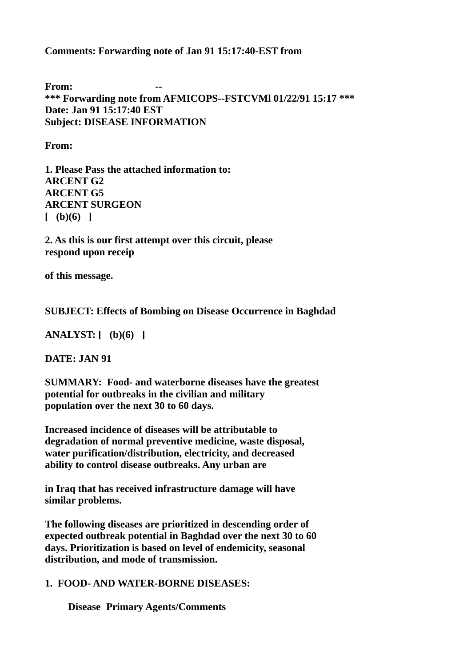**Comments: Forwarding note of Jan 91 15:17:40-EST from** 

**From: \*\*\* Forwarding note from AFMICOPS--FSTCVMl 01/22/91 15:17 \*\*\* Date: Jan 91 15:17:40 EST Subject: DISEASE INFORMATION**

**From:**

**1. Please Pass the attached information to: ARCENT G2 ARCENT G5 ARCENT SURGEON [ (b)(6) ]**

**2. As this is our first attempt over this circuit, please respond upon receip**

**of this message.**

**SUBJECT: Effects of Bombing on Disease Occurrence in Baghdad** 

**ANALYST: [ (b)(6) ]**

**DATE: JAN 91**

**SUMMARY: Food- and waterborne diseases have the greatest potential for outbreaks in the civilian and military population over the next 30 to 60 days.**

**Increased incidence of diseases will be attributable to degradation of normal preventive medicine, waste disposal, water purification/distribution, electricity, and decreased ability to control disease outbreaks. Any urban are**

**in Iraq that has received infrastructure damage will have similar problems.** 

**The following diseases are prioritized in descending order of expected outbreak potential in Baghdad over the next 30 to 60 days. Prioritization is based on level of endemicity, seasonal distribution, and mode of transmission.**

**1. FOOD- AND WATER-BORNE DISEASES:**

 **Disease Primary Agents/Comments**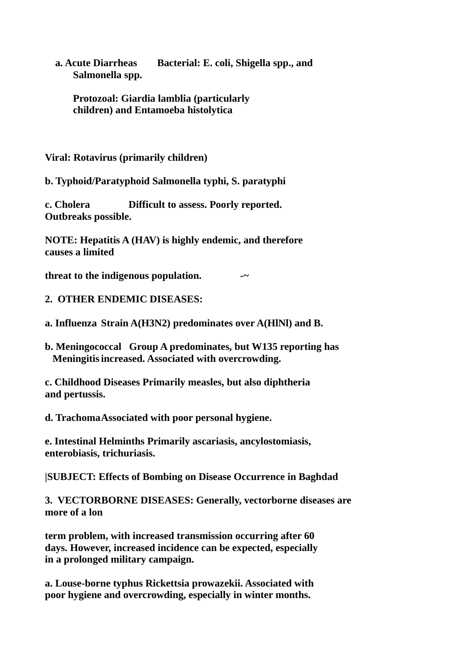**a. Acute Diarrheas Bacterial: E. coli, Shigella spp., and Salmonella spp.**

```
Protozoal: Giardia lamblia (particularly
children) and Entamoeba histolytica
```
**Viral: Rotavirus (primarily children)**

**b. Typhoid/Paratyphoid Salmonella typhi, S. paratyphi**

**c. Cholera Difficult to assess. Poorly reported. Outbreaks possible.**

**NOTE: Hepatitis A (HAV) is highly endemic, and therefore causes a limited**

**threat to the indigenous population.**  $-\sim$ 

**2. OTHER ENDEMIC DISEASES:**

**a. Influenza Strain A(H3N2) predominates over A(HlNl) and B.**

**b. Meningococcal Group A predominates, but W135 reporting has Meningitisincreased. Associated with overcrowding.**

**c. Childhood Diseases Primarily measles, but also diphtheria and pertussis.**

**d. TrachomaAssociated with poor personal hygiene.**

**e. Intestinal Helminths Primarily ascariasis, ancylostomiasis, enterobiasis, trichuriasis.**

**|SUBJECT: Effects of Bombing on Disease Occurrence in Baghdad** 

**3. VECTORBORNE DISEASES: Generally, vectorborne diseases are more of a lon**

**term problem, with increased transmission occurring after 60 days. However, increased incidence can be expected, especially in a prolonged military campaign.**

**a. Louse-borne typhus Rickettsia prowazekii. Associated with poor hygiene and overcrowding, especially in winter months.**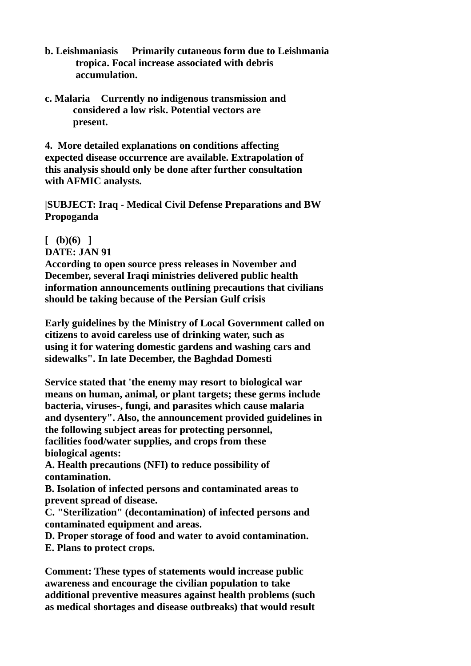- **b. Leishmaniasis Primarily cutaneous form due to Leishmania tropica. Focal increase associated with debris accumulation.**
- **c. Malaria Currently no indigenous transmission and considered a low risk. Potential vectors are present.**

**4. More detailed explanations on conditions affecting expected disease occurrence are available. Extrapolation of this analysis should only be done after further consultation with AFMIC analysts.**

**|SUBJECT: Iraq - Medical Civil Defense Preparations and BW Propoganda** 

**[ (b)(6) ]**

**DATE: JAN 91**

**According to open source press releases in November and December, several Iraqi ministries delivered public health information announcements outlining precautions that civilians should be taking because of the Persian Gulf crisis**

**Early guidelines by the Ministry of Local Government called on citizens to avoid careless use of drinking water, such as using it for watering domestic gardens and washing cars and sidewalks". In late December, the Baghdad Domesti**

**Service stated that 'the enemy may resort to biological war means on human, animal, or plant targets; these germs include bacteria, viruses-, fungi, and parasites which cause malaria and dysentery". Also, the announcement provided guidelines in the following subject areas for protecting personnel, facilities food/water supplies, and crops from these biological agents:**

**A. Health precautions (NFI) to reduce possibility of contamination.**

**B. Isolation of infected persons and contaminated areas to prevent spread of disease.**

**C. "Sterilization" (decontamination) of infected persons and contaminated equipment and areas.**

**D. Proper storage of food and water to avoid contamination.**

**E. Plans to protect crops.**

**Comment: These types of statements would increase public awareness and encourage the civilian population to take additional preventive measures against health problems (such as medical shortages and disease outbreaks) that would result**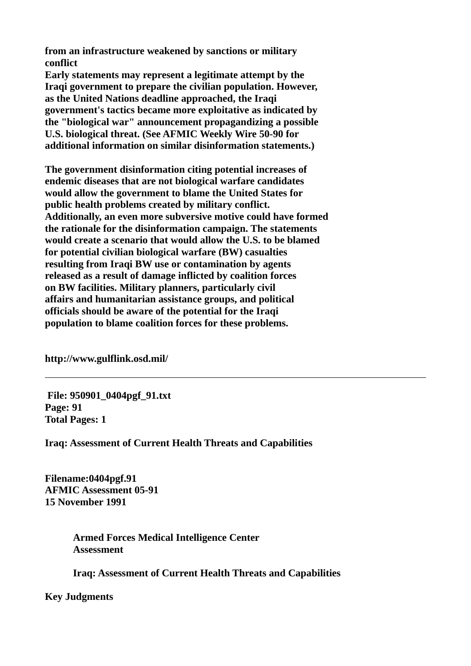**from an infrastructure weakened by sanctions or military conflict**

**Early statements may represent a legitimate attempt by the Iraqi government to prepare the civilian population. However, as the United Nations deadline approached, the Iraqi government's tactics became more exploitative as indicated by the "biological war" announcement propagandizing a possible U.S. biological threat. (See AFMIC Weekly Wire 50-90 for additional information on similar disinformation statements.)**

**The government disinformation citing potential increases of endemic diseases that are not biological warfare candidates would allow the government to blame the United States for public health problems created by military conflict. Additionally, an even more subversive motive could have formed the rationale for the disinformation campaign. The statements would create a scenario that would allow the U.S. to be blamed for potential civilian biological warfare (BW) casualties resulting from Iraqi BW use or contamination by agents released as a result of damage inflicted by coalition forces on BW facilities. Military planners, particularly civil affairs and humanitarian assistance groups, and political officials should be aware of the potential for the Iraqi population to blame coalition forces for these problems.**

**http://www.gulflink.osd.mil/**

 **File: 950901\_0404pgf\_91.txt Page: 91 Total Pages: 1**

**Iraq: Assessment of Current Health Threats and Capabilities**

**Filename:0404pgf.91 AFMIC Assessment 05-91 15 November 1991**

> **Armed Forces Medical Intelligence Center Assessment**

**Iraq: Assessment of Current Health Threats and Capabilities**

**Key Judgments**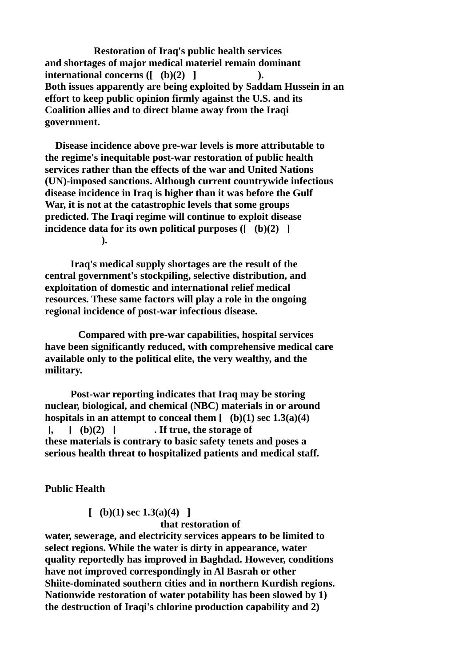**Restoration of Iraq's public health services and shortages of major medical materiel remain dominant**  international concerns ([ (b)(2) ] ). **Both issues apparently are being exploited by Saddam Hussein in an effort to keep public opinion firmly against the U.S. and its Coalition allies and to direct blame away from the Iraqi government.**

 **Disease incidence above pre-war levels is more attributable to the regime's inequitable post-war restoration of public health services rather than the effects of the war and United Nations (UN)-imposed sanctions. Although current countrywide infectious disease incidence in Iraq is higher than it was before the Gulf War, it is not at the catastrophic levels that some groups predicted. The Iraqi regime will continue to exploit disease incidence data for its own political purposes ([ (b)(2) ] ).**

 **Iraq's medical supply shortages are the result of the central government's stockpiling, selective distribution, and exploitation of domestic and international relief medical resources. These same factors will play a role in the ongoing regional incidence of post-war infectious disease.** 

 **Compared with pre-war capabilities, hospital services have been significantly reduced, with comprehensive medical care available only to the political elite, the very wealthy, and the military.**

 **Post-war reporting indicates that Iraq may be storing nuclear, biological, and chemical (NBC) materials in or around hospitals in an attempt to conceal them [ (b)(1) sec 1.3(a)(4) ], [ (b)(2) ] . If true, the storage of these materials is contrary to basic safety tenets and poses a serious health threat to hospitalized patients and medical staff.** 

**Public Health**

 **[ (b)(1) sec 1.3(a)(4) ]** 

 **that restoration of** 

**water, sewerage, and electricity services appears to be limited to select regions. While the water is dirty in appearance, water quality reportedly has improved in Baghdad. However, conditions have not improved correspondingly in Al Basrah or other Shiite-dominated southern cities and in northern Kurdish regions. Nationwide restoration of water potability has been slowed by 1) the destruction of Iraqi's chlorine production capability and 2)**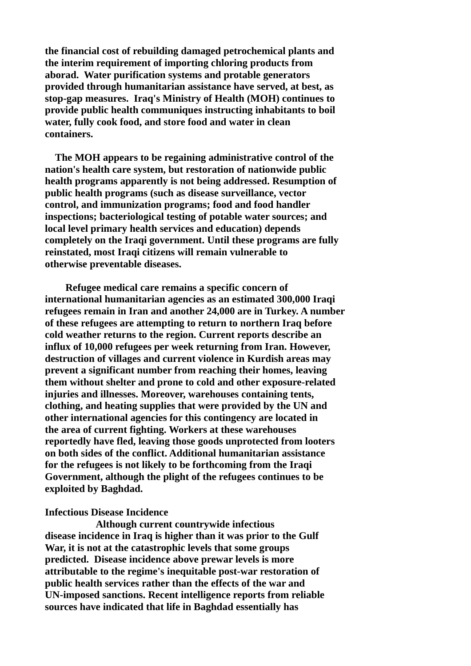**the financial cost of rebuilding damaged petrochemical plants and the interim requirement of importing chloring products from aborad. Water purification systems and protable generators provided through humanitarian assistance have served, at best, as stop-gap measures. Iraq's Ministry of Health (MOH) continues to provide public health communiques instructing inhabitants to boil water, fully cook food, and store food and water in clean containers.**

 **The MOH appears to be regaining administrative control of the nation's health care system, but restoration of nationwide public health programs apparently is not being addressed. Resumption of public health programs (such as disease surveillance, vector control, and immunization programs; food and food handler inspections; bacteriological testing of potable water sources; and local level primary health services and education) depends completely on the Iraqi government. Until these programs are fully reinstated, most Iraqi citizens will remain vulnerable to otherwise preventable diseases.**

 **Refugee medical care remains a specific concern of international humanitarian agencies as an estimated 300,000 Iraqi refugees remain in Iran and another 24,000 are in Turkey. A number of these refugees are attempting to return to northern Iraq before cold weather returns to the region. Current reports describe an influx of 10,000 refugees per week returning from Iran. However, destruction of villages and current violence in Kurdish areas may prevent a significant number from reaching their homes, leaving them without shelter and prone to cold and other exposure-related injuries and illnesses. Moreover, warehouses containing tents, clothing, and heating supplies that were provided by the UN and other international agencies for this contingency are located in the area of current fighting. Workers at these warehouses reportedly have fled, leaving those goods unprotected from looters on both sides of the conflict. Additional humanitarian assistance for the refugees is not likely to be forthcoming from the Iraqi Government, although the plight of the refugees continues to be exploited by Baghdad.**

## **Infectious Disease Incidence**

 **Although current countrywide infectious disease incidence in Iraq is higher than it was prior to the Gulf War, it is not at the catastrophic levels that some groups predicted. Disease incidence above prewar levels is more attributable to the regime's inequitable post-war restoration of public health services rather than the effects of the war and UN-imposed sanctions. Recent intelligence reports from reliable sources have indicated that life in Baghdad essentially has**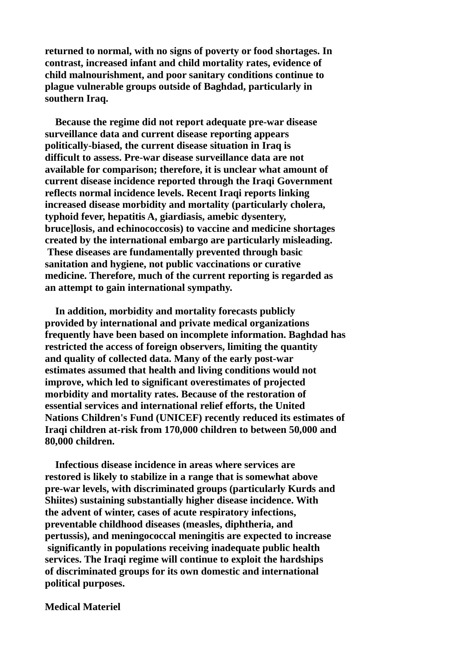**returned to normal, with no signs of poverty or food shortages. In contrast, increased infant and child mortality rates, evidence of child malnourishment, and poor sanitary conditions continue to plague vulnerable groups outside of Baghdad, particularly in southern Iraq.**

 **Because the regime did not report adequate pre-war disease surveillance data and current disease reporting appears politically-biased, the current disease situation in Iraq is difficult to assess. Pre-war disease surveillance data are not available for comparison; therefore, it is unclear what amount of current disease incidence reported through the Iraqi Government reflects normal incidence levels. Recent Iraqi reports linking increased disease morbidity and mortality (particularly cholera, typhoid fever, hepatitis A, giardiasis, amebic dysentery, bruce]losis, and echinococcosis) to vaccine and medicine shortages created by the international embargo are particularly misleading. These diseases are fundamentally prevented through basic sanitation and hygiene, not public vaccinations or curative medicine. Therefore, much of the current reporting is regarded as an attempt to gain international sympathy.**

 **In addition, morbidity and mortality forecasts publicly provided by international and private medical organizations frequently have been based on incomplete information. Baghdad has restricted the access of foreign observers, limiting the quantity and quality of collected data. Many of the early post-war estimates assumed that health and living conditions would not improve, which led to significant overestimates of projected morbidity and mortality rates. Because of the restoration of essential services and international relief efforts, the United Nations Children's Fund (UNICEF) recently reduced its estimates of Iraqi children at-risk from 170,000 children to between 50,000 and 80,000 children.**

 **Infectious disease incidence in areas where services are restored is likely to stabilize in a range that is somewhat above pre-war levels, with discriminated groups (particularly Kurds and Shiites) sustaining substantially higher disease incidence. With the advent of winter, cases of acute respiratory infections, preventable childhood diseases (measles, diphtheria, and pertussis), and meningococcal meningitis are expected to increase significantly in populations receiving inadequate public health services. The Iraqi regime will continue to exploit the hardships of discriminated groups for its own domestic and international political purposes.**

## **Medical Materiel**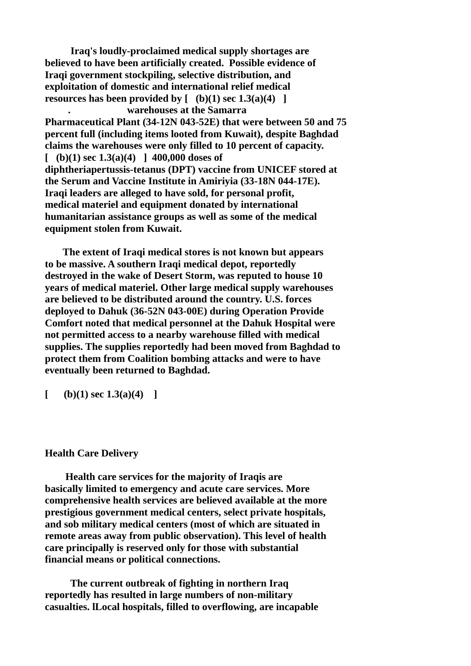**Iraq's loudly-proclaimed medical supply shortages are believed to have been artificially created. Possible evidence of Iraqi government stockpiling, selective distribution, and exploitation of domestic and international relief medical resources has been provided by [ (b)(1) sec 1.3(a)(4) ]** 

 **. warehouses at the Samarra Pharmaceutical Plant (34-12N 043-52E) that were between 50 and 75 percent full (including items looted from Kuwait), despite Baghdad claims the warehouses were only filled to 10 percent of capacity. [ (b)(1) sec 1.3(a)(4) ] 400,000 doses of diphtheriapertussis-tetanus (DPT) vaccine from UNICEF stored at the Serum and Vaccine Institute in Amiriyia (33-18N 044-17E). Iraqi leaders are alleged to have sold, for personal profit, medical materiel and equipment donated by international humanitarian assistance groups as well as some of the medical equipment stolen from Kuwait.**

 **The extent of Iraqi medical stores is not known but appears to be massive. A southern Iraqi medical depot, reportedly destroyed in the wake of Desert Storm, was reputed to house 10 years of medical materiel. Other large medical supply warehouses are believed to be distributed around the country. U.S. forces deployed to Dahuk (36-52N 043-00E) during Operation Provide Comfort noted that medical personnel at the Dahuk Hospital were not permitted access to a nearby warehouse filled with medical supplies. The supplies reportedly had been moved from Baghdad to protect them from Coalition bombing attacks and were to have eventually been returned to Baghdad.**

**[ (b)(1) sec 1.3(a)(4) ]**

#### **Health Care Delivery**

 **Health care services for the majority of Iraqis are basically limited to emergency and acute care services. More comprehensive health services are believed available at the more prestigious government medical centers, select private hospitals, and sob military medical centers (most of which are situated in remote areas away from public observation). This level of health care principally is reserved only for those with substantial financial means or political connections.**

 **The current outbreak of fighting in northern Iraq reportedly has resulted in large numbers of non-military casualties. lLocal hospitals, filled to overflowing, are incapable**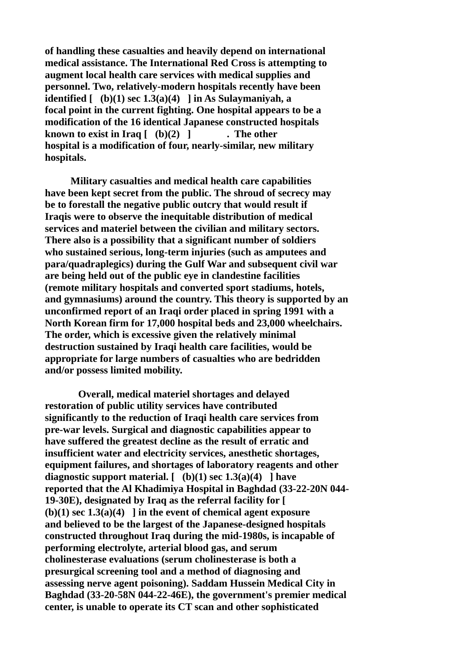**of handling these casualties and heavily depend on international medical assistance. The International Red Cross is attempting to augment local health care services with medical supplies and personnel. Two, relatively-modern hospitals recently have been identified [ (b)(1) sec 1.3(a)(4) ] in As Sulaymaniyah, a focal point in the current fighting. One hospital appears to be a modification of the 16 identical Japanese constructed hospitals known to exist in Iraq [ (b)(2) ] . The other hospital is a modification of four, nearly-similar, new military hospitals.**

 **Military casualties and medical health care capabilities have been kept secret from the public. The shroud of secrecy may be to forestall the negative public outcry that would result if Iraqis were to observe the inequitable distribution of medical services and materiel between the civilian and military sectors. There also is a possibility that a significant number of soldiers who sustained serious, long-term injuries (such as amputees and para/quadraplegics) during the Gulf War and subsequent civil war are being held out of the public eye in clandestine facilities (remote military hospitals and converted sport stadiums, hotels, and gymnasiums) around the country. This theory is supported by an unconfirmed report of an Iraqi order placed in spring 1991 with a North Korean firm for 17,000 hospital beds and 23,000 wheelchairs. The order, which is excessive given the relatively minimal destruction sustained by Iraqi health care facilities, would be appropriate for large numbers of casualties who are bedridden and/or possess limited mobility.**

 **Overall, medical materiel shortages and delayed restoration of public utility services have contributed significantly to the reduction of Iraqi health care services from pre-war levels. Surgical and diagnostic capabilities appear to have suffered the greatest decline as the result of erratic and insufficient water and electricity services, anesthetic shortages, equipment failures, and shortages of laboratory reagents and other diagnostic support material. [ (b)(1) sec 1.3(a)(4) ] have reported that the Al Khadimiya Hospital in Baghdad (33-22-20N 044- 19-30E), designated by Iraq as the referral facility for [ (b)(1) sec 1.3(a)(4) ] in the event of chemical agent exposure and believed to be the largest of the Japanese-designed hospitals constructed throughout Iraq during the mid-1980s, is incapable of performing electrolyte, arterial blood gas, and serum cholinesterase evaluations (serum cholinesterase is both a presurgical screening tool and a method of diagnosing and assessing nerve agent poisoning). Saddam Hussein Medical City in Baghdad (33-20-58N 044-22-46E), the government's premier medical center, is unable to operate its CT scan and other sophisticated**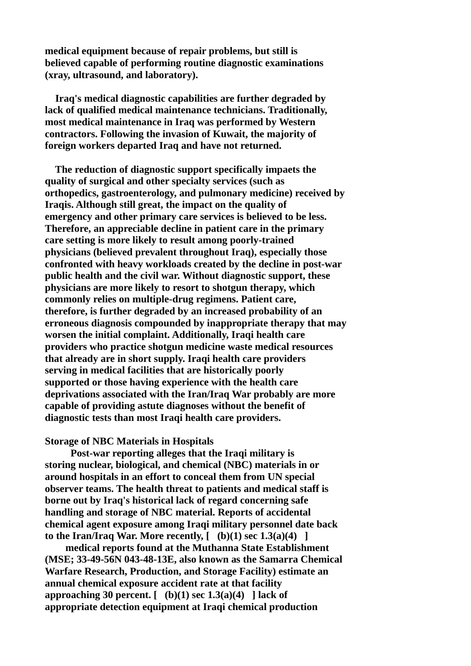**medical equipment because of repair problems, but still is believed capable of performing routine diagnostic examinations (xray, ultrasound, and laboratory).**

 **Iraq's medical diagnostic capabilities are further degraded by lack of qualified medical maintenance technicians. Traditionally, most medical maintenance in Iraq was performed by Western contractors. Following the invasion of Kuwait, the majority of foreign workers departed Iraq and have not returned.** 

 **The reduction of diagnostic support specifically impaets the quality of surgical and other specialty services (such as orthopedics, gastroenterology, and pulmonary medicine) received by Iraqis. Although still great, the impact on the quality of emergency and other primary care services is believed to be less. Therefore, an appreciable decline in patient care in the primary care setting is more likely to result among poorly-trained physicians (believed prevalent throughout Iraq), especially those confronted with heavy workloads created by the decline in post-war public health and the civil war. Without diagnostic support, these physicians are more likely to resort to shotgun therapy, which commonly relies on multiple-drug regimens. Patient care, therefore, is further degraded by an increased probability of an erroneous diagnosis compounded by inappropriate therapy that may worsen the initial complaint. Additionally, Iraqi health care providers who practice shotgun medicine waste medical resources that already are in short supply. Iraqi health care providers serving in medical facilities that are historically poorly supported or those having experience with the health care deprivations associated with the Iran/Iraq War probably are more capable of providing astute diagnoses without the benefit of diagnostic tests than most Iraqi health care providers.**

#### **Storage of NBC Materials in Hospitals**

 **Post-war reporting alleges that the Iraqi military is storing nuclear, biological, and chemical (NBC) materials in or around hospitals in an effort to conceal them from UN special observer teams. The health threat to patients and medical staff is borne out by Iraq's historical lack of regard concerning safe handling and storage of NBC material. Reports of accidental chemical agent exposure among Iraqi military personnel date back to the Iran/Iraq War. More recently, [ (b)(1) sec 1.3(a)(4) ]**

 **medical reports found at the Muthanna State Establishment (MSE; 33-49-56N 043-48-13E, also known as the Samarra Chemical Warfare Research, Production, and Storage Facility) estimate an annual chemical exposure accident rate at that facility approaching 30 percent. [ (b)(1) sec 1.3(a)(4) ] lack of appropriate detection equipment at Iraqi chemical production**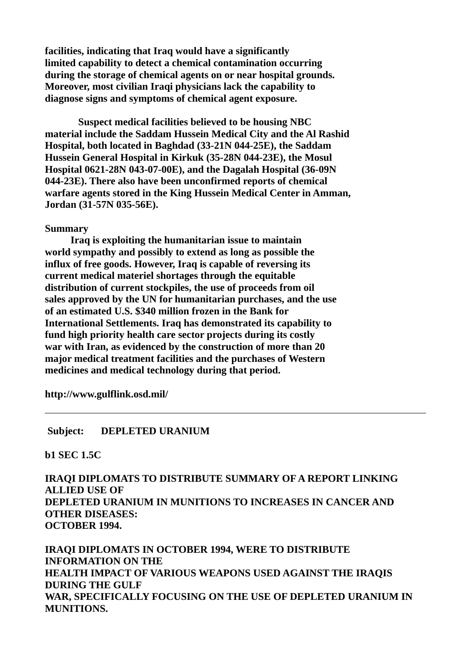**facilities, indicating that Iraq would have a significantly limited capability to detect a chemical contamination occurring during the storage of chemical agents on or near hospital grounds. Moreover, most civilian Iraqi physicians lack the capability to diagnose signs and symptoms of chemical agent exposure.**

 **Suspect medical facilities believed to be housing NBC material include the Saddam Hussein Medical City and the Al Rashid Hospital, both located in Baghdad (33-21N 044-25E), the Saddam Hussein General Hospital in Kirkuk (35-28N 044-23E), the Mosul Hospital 0621-28N 043-07-00E), and the Dagalah Hospital (36-09N 044-23E). There also have been unconfirmed reports of chemical warfare agents stored in the King Hussein Medical Center in Amman, Jordan (31-57N 035-56E).**

#### **Summary**

 **Iraq is exploiting the humanitarian issue to maintain world sympathy and possibly to extend as long as possible the influx of free goods. However, Iraq is capable of reversing its current medical materiel shortages through the equitable distribution of current stockpiles, the use of proceeds from oil sales approved by the UN for humanitarian purchases, and the use of an estimated U.S. \$340 million frozen in the Bank for International Settlements. Iraq has demonstrated its capability to fund high priority health care sector projects during its costly war with Iran, as evidenced by the construction of more than 20 major medical treatment facilities and the purchases of Western medicines and medical technology during that period.**

**http://www.gulflink.osd.mil/**

 **Subject: DEPLETED URANIUM** 

**b1 SEC 1.5C**

**IRAQI DIPLOMATS TO DISTRIBUTE SUMMARY OF A REPORT LINKING ALLIED USE OF DEPLETED URANIUM IN MUNITIONS TO INCREASES IN CANCER AND OTHER DISEASES: OCTOBER 1994.**

**IRAQI DIPLOMATS IN OCTOBER 1994, WERE TO DISTRIBUTE INFORMATION ON THE HEALTH IMPACT OF VARIOUS WEAPONS USED AGAINST THE IRAQIS DURING THE GULF WAR, SPECIFICALLY FOCUSING ON THE USE OF DEPLETED URANIUM IN MUNITIONS.**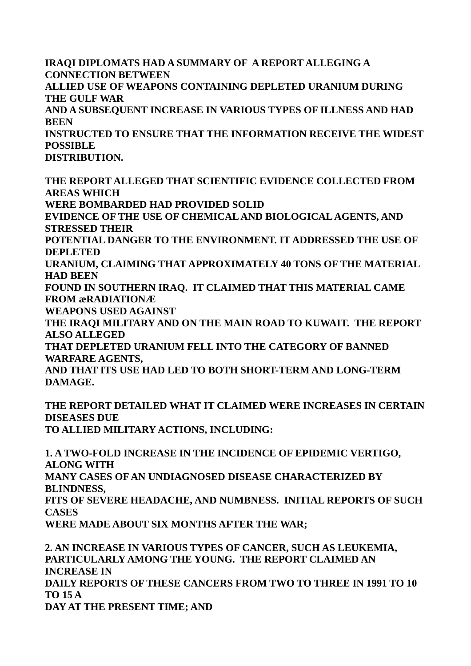**IRAQI DIPLOMATS HAD A SUMMARY OF A REPORT ALLEGING A CONNECTION BETWEEN ALLIED USE OF WEAPONS CONTAINING DEPLETED URANIUM DURING THE GULF WAR AND A SUBSEQUENT INCREASE IN VARIOUS TYPES OF ILLNESS AND HAD BEEN INSTRUCTED TO ENSURE THAT THE INFORMATION RECEIVE THE WIDEST POSSIBLE DISTRIBUTION.**

**THE REPORT ALLEGED THAT SCIENTIFIC EVIDENCE COLLECTED FROM AREAS WHICH WERE BOMBARDED HAD PROVIDED SOLID EVIDENCE OF THE USE OF CHEMICAL AND BIOLOGICAL AGENTS, AND STRESSED THEIR POTENTIAL DANGER TO THE ENVIRONMENT. IT ADDRESSED THE USE OF DEPLETED URANIUM, CLAIMING THAT APPROXIMATELY 40 TONS OF THE MATERIAL HAD BEEN FOUND IN SOUTHERN IRAQ. IT CLAIMED THAT THIS MATERIAL CAME FROM æRADIATIONÆ WEAPONS USED AGAINST THE IRAQI MILITARY AND ON THE MAIN ROAD TO KUWAIT. THE REPORT ALSO ALLEGED THAT DEPLETED URANIUM FELL INTO THE CATEGORY OF BANNED WARFARE AGENTS, AND THAT ITS USE HAD LED TO BOTH SHORT-TERM AND LONG-TERM DAMAGE.**

**THE REPORT DETAILED WHAT IT CLAIMED WERE INCREASES IN CERTAIN DISEASES DUE TO ALLIED MILITARY ACTIONS, INCLUDING:**

**1. A TWO-FOLD INCREASE IN THE INCIDENCE OF EPIDEMIC VERTIGO, ALONG WITH MANY CASES OF AN UNDIAGNOSED DISEASE CHARACTERIZED BY BLINDNESS, FITS OF SEVERE HEADACHE, AND NUMBNESS. INITIAL REPORTS OF SUCH CASES WERE MADE ABOUT SIX MONTHS AFTER THE WAR;**

**2. AN INCREASE IN VARIOUS TYPES OF CANCER, SUCH AS LEUKEMIA, PARTICULARLY AMONG THE YOUNG. THE REPORT CLAIMED AN INCREASE IN DAILY REPORTS OF THESE CANCERS FROM TWO TO THREE IN 1991 TO 10 TO 15 A DAY AT THE PRESENT TIME; AND**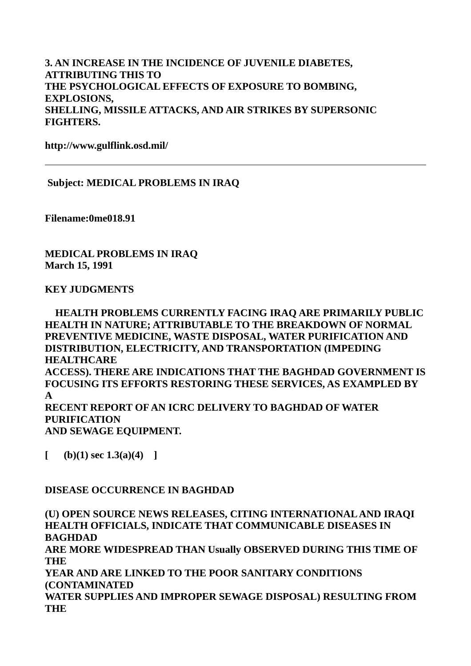# **3. AN INCREASE IN THE INCIDENCE OF JUVENILE DIABETES, ATTRIBUTING THIS TO THE PSYCHOLOGICAL EFFECTS OF EXPOSURE TO BOMBING, EXPLOSIONS, SHELLING, MISSILE ATTACKS, AND AIR STRIKES BY SUPERSONIC FIGHTERS.**

**http://www.gulflink.osd.mil/**

 **Subject: MEDICAL PROBLEMS IN IRAQ**

**Filename:0me018.91**

**MEDICAL PROBLEMS IN IRAQ March 15, 1991**

**KEY JUDGMENTS**

 **HEALTH PROBLEMS CURRENTLY FACING IRAQ ARE PRIMARILY PUBLIC HEALTH IN NATURE; ATTRIBUTABLE TO THE BREAKDOWN OF NORMAL PREVENTIVE MEDICINE, WASTE DISPOSAL, WATER PURIFICATION AND DISTRIBUTION, ELECTRICITY, AND TRANSPORTATION (IMPEDING HEALTHCARE ACCESS). THERE ARE INDICATIONS THAT THE BAGHDAD GOVERNMENT IS FOCUSING ITS EFFORTS RESTORING THESE SERVICES, AS EXAMPLED BY A RECENT REPORT OF AN ICRC DELIVERY TO BAGHDAD OF WATER PURIFICATION AND SEWAGE EQUIPMENT.**

**[ (b)(1) sec 1.3(a)(4) ]**

**DISEASE OCCURRENCE IN BAGHDAD**

**(U) OPEN SOURCE NEWS RELEASES, CITING INTERNATIONAL AND IRAQI HEALTH OFFICIALS, INDICATE THAT COMMUNICABLE DISEASES IN BAGHDAD ARE MORE WIDESPREAD THAN Usually OBSERVED DURING THIS TIME OF THE YEAR AND ARE LINKED TO THE POOR SANITARY CONDITIONS (CONTAMINATED WATER SUPPLIES AND IMPROPER SEWAGE DISPOSAL) RESULTING FROM THE**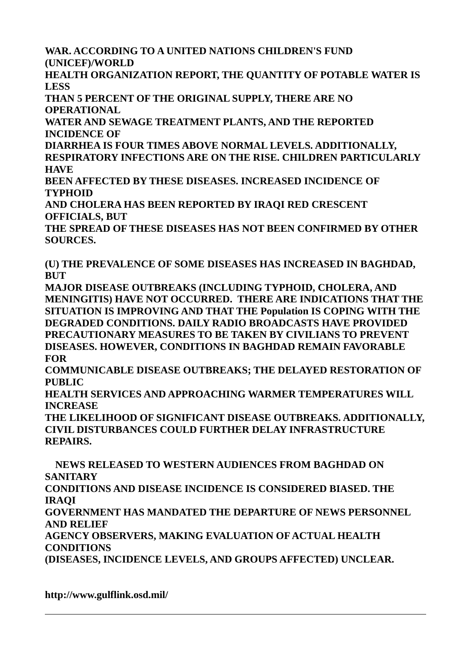**WAR. ACCORDING TO A UNITED NATIONS CHILDREN'S FUND (UNICEF)/WORLD** 

**HEALTH ORGANIZATION REPORT, THE QUANTITY OF POTABLE WATER IS LESS** 

**THAN 5 PERCENT OF THE ORIGINAL SUPPLY, THERE ARE NO OPERATIONAL** 

**WATER AND SEWAGE TREATMENT PLANTS, AND THE REPORTED INCIDENCE OF** 

**DIARRHEA IS FOUR TIMES ABOVE NORMAL LEVELS. ADDITIONALLY, RESPIRATORY INFECTIONS ARE ON THE RISE. CHILDREN PARTICULARLY HAVE** 

**BEEN AFFECTED BY THESE DISEASES. INCREASED INCIDENCE OF TYPHOID** 

**AND CHOLERA HAS BEEN REPORTED BY IRAQI RED CRESCENT OFFICIALS, BUT** 

**THE SPREAD OF THESE DISEASES HAS NOT BEEN CONFIRMED BY OTHER SOURCES.**

**(U) THE PREVALENCE OF SOME DISEASES HAS INCREASED IN BAGHDAD, BUT** 

**MAJOR DISEASE OUTBREAKS (INCLUDING TYPHOID, CHOLERA, AND MENINGITIS) HAVE NOT OCCURRED. THERE ARE INDICATIONS THAT THE SITUATION IS IMPROVING AND THAT THE Population IS COPING WITH THE DEGRADED CONDITIONS. DAILY RADIO BROADCASTS HAVE PROVIDED PRECAUTIONARY MEASURES TO BE TAKEN BY CIVILIANS TO PREVENT DISEASES. HOWEVER, CONDITIONS IN BAGHDAD REMAIN FAVORABLE FOR** 

**COMMUNICABLE DISEASE OUTBREAKS; THE DELAYED RESTORATION OF PUBLIC** 

**HEALTH SERVICES AND APPROACHING WARMER TEMPERATURES WILL INCREASE** 

**THE LIKELIHOOD OF SIGNIFICANT DISEASE OUTBREAKS. ADDITIONALLY, CIVIL DISTURBANCES COULD FURTHER DELAY INFRASTRUCTURE REPAIRS.**

 **NEWS RELEASED TO WESTERN AUDIENCES FROM BAGHDAD ON SANITARY** 

**CONDITIONS AND DISEASE INCIDENCE IS CONSIDERED BIASED. THE IRAQI** 

**GOVERNMENT HAS MANDATED THE DEPARTURE OF NEWS PERSONNEL AND RELIEF** 

**AGENCY OBSERVERS, MAKING EVALUATION OF ACTUAL HEALTH CONDITIONS** 

**(DISEASES, INCIDENCE LEVELS, AND GROUPS AFFECTED) UNCLEAR.**

**http://www.gulflink.osd.mil/**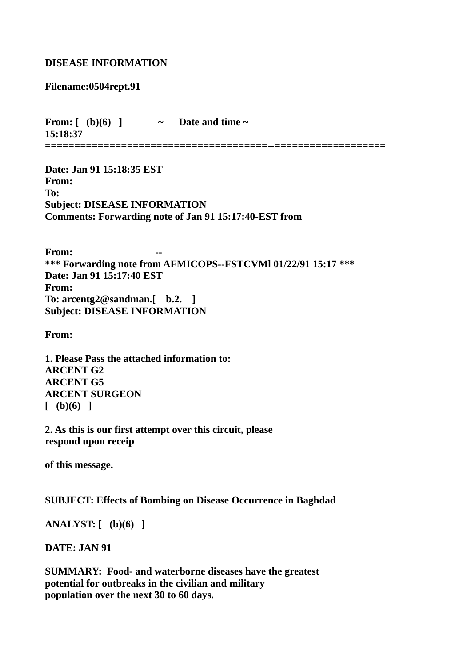## **DISEASE INFORMATION**

**Filename:0504rept.91**

**From:**  $[$  (b)(6)  $]$   $\sim$  Date and time  $\sim$ **15:18:37 ======================================--===================**

**Date: Jan 91 15:18:35 EST From: To: Subject: DISEASE INFORMATION Comments: Forwarding note of Jan 91 15:17:40-EST from** 

**From: \*\*\* Forwarding note from AFMICOPS--FSTCVMl 01/22/91 15:17 \*\*\* Date: Jan 91 15:17:40 EST From: To: arcentg2@sandman.[ b.2. ] Subject: DISEASE INFORMATION**

**From:**

**1. Please Pass the attached information to: ARCENT G2 ARCENT G5 ARCENT SURGEON [ (b)(6) ]**

**2. As this is our first attempt over this circuit, please respond upon receip**

**of this message.**

**SUBJECT: Effects of Bombing on Disease Occurrence in Baghdad** 

**ANALYST: [ (b)(6) ]**

**DATE: JAN 91**

**SUMMARY: Food- and waterborne diseases have the greatest potential for outbreaks in the civilian and military population over the next 30 to 60 days.**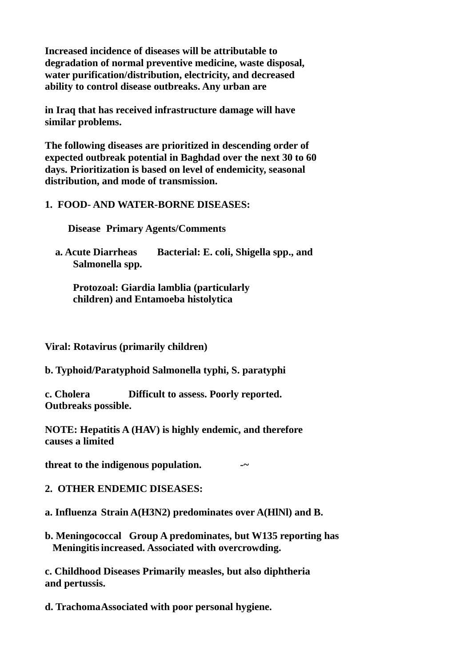**Increased incidence of diseases will be attributable to degradation of normal preventive medicine, waste disposal, water purification/distribution, electricity, and decreased ability to control disease outbreaks. Any urban are**

**in Iraq that has received infrastructure damage will have similar problems.** 

**The following diseases are prioritized in descending order of expected outbreak potential in Baghdad over the next 30 to 60 days. Prioritization is based on level of endemicity, seasonal distribution, and mode of transmission.**

# **1. FOOD- AND WATER-BORNE DISEASES:**

 **Disease Primary Agents/Comments**

 **a. Acute Diarrheas Bacterial: E. coli, Shigella spp., and Salmonella spp.**

**Protozoal: Giardia lamblia (particularly children) and Entamoeba histolytica**

**Viral: Rotavirus (primarily children)**

**b. Typhoid/Paratyphoid Salmonella typhi, S. paratyphi**

**c. Cholera Difficult to assess. Poorly reported. Outbreaks possible.**

**NOTE: Hepatitis A (HAV) is highly endemic, and therefore causes a limited**

**threat to the indigenous population.**  $\sim$ 

- **2. OTHER ENDEMIC DISEASES:**
- **a. Influenza Strain A(H3N2) predominates over A(HlNl) and B.**
- **b. Meningococcal Group A predominates, but W135 reporting has Meningitisincreased. Associated with overcrowding.**

**c. Childhood Diseases Primarily measles, but also diphtheria and pertussis.**

**d. TrachomaAssociated with poor personal hygiene.**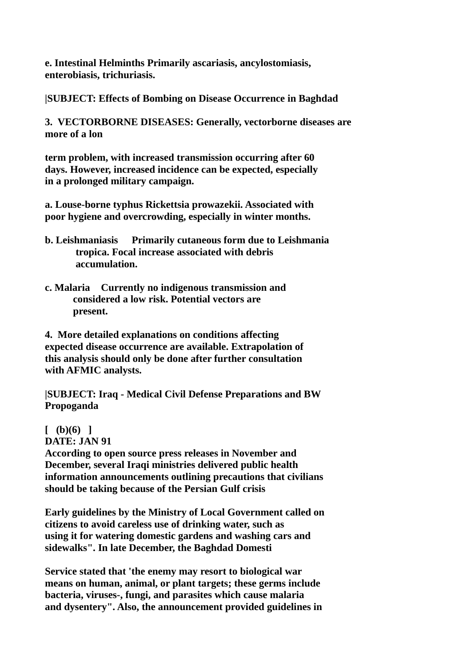**e. Intestinal Helminths Primarily ascariasis, ancylostomiasis, enterobiasis, trichuriasis.**

**|SUBJECT: Effects of Bombing on Disease Occurrence in Baghdad** 

**3. VECTORBORNE DISEASES: Generally, vectorborne diseases are more of a lon**

**term problem, with increased transmission occurring after 60 days. However, increased incidence can be expected, especially in a prolonged military campaign.**

**a. Louse-borne typhus Rickettsia prowazekii. Associated with poor hygiene and overcrowding, especially in winter months.**

- **b. Leishmaniasis Primarily cutaneous form due to Leishmania tropica. Focal increase associated with debris accumulation.**
- **c. Malaria Currently no indigenous transmission and considered a low risk. Potential vectors are present.**

**4. More detailed explanations on conditions affecting expected disease occurrence are available. Extrapolation of this analysis should only be done after further consultation with AFMIC analysts.**

**|SUBJECT: Iraq - Medical Civil Defense Preparations and BW Propoganda** 

**[ (b)(6) ] DATE: JAN 91 According to open source press releases in November and December, several Iraqi ministries delivered public health information announcements outlining precautions that civilians should be taking because of the Persian Gulf crisis**

**Early guidelines by the Ministry of Local Government called on citizens to avoid careless use of drinking water, such as using it for watering domestic gardens and washing cars and sidewalks". In late December, the Baghdad Domesti**

**Service stated that 'the enemy may resort to biological war means on human, animal, or plant targets; these germs include bacteria, viruses-, fungi, and parasites which cause malaria and dysentery". Also, the announcement provided guidelines in**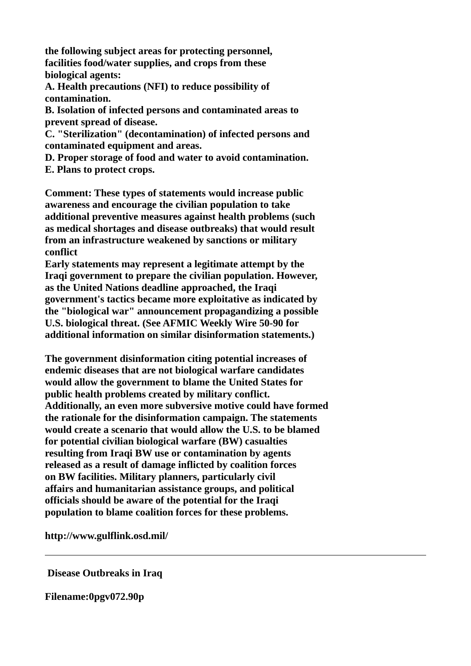**the following subject areas for protecting personnel, facilities food/water supplies, and crops from these biological agents:**

**A. Health precautions (NFI) to reduce possibility of contamination.**

**B. Isolation of infected persons and contaminated areas to prevent spread of disease.**

**C. "Sterilization" (decontamination) of infected persons and contaminated equipment and areas.**

**D. Proper storage of food and water to avoid contamination. E. Plans to protect crops.**

**Comment: These types of statements would increase public awareness and encourage the civilian population to take additional preventive measures against health problems (such as medical shortages and disease outbreaks) that would result from an infrastructure weakened by sanctions or military conflict**

**Early statements may represent a legitimate attempt by the Iraqi government to prepare the civilian population. However, as the United Nations deadline approached, the Iraqi government's tactics became more exploitative as indicated by the "biological war" announcement propagandizing a possible U.S. biological threat. (See AFMIC Weekly Wire 50-90 for additional information on similar disinformation statements.)**

**The government disinformation citing potential increases of endemic diseases that are not biological warfare candidates would allow the government to blame the United States for public health problems created by military conflict. Additionally, an even more subversive motive could have formed the rationale for the disinformation campaign. The statements would create a scenario that would allow the U.S. to be blamed for potential civilian biological warfare (BW) casualties resulting from Iraqi BW use or contamination by agents released as a result of damage inflicted by coalition forces on BW facilities. Military planners, particularly civil affairs and humanitarian assistance groups, and political officials should be aware of the potential for the Iraqi population to blame coalition forces for these problems.**

**http://www.gulflink.osd.mil/**

 **Disease Outbreaks in Iraq**

**Filename:0pgv072.90p**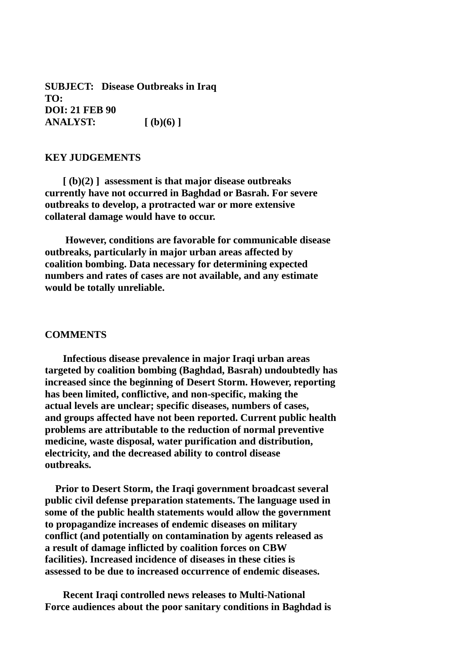**SUBJECT: Disease Outbreaks in Iraq TO: DOI: 21 FEB 90 ANALYST: [ (b)(6) ]**

### **KEY JUDGEMENTS**

 **[ (b)(2) ] assessment is that major disease outbreaks currently have not occurred in Baghdad or Basrah. For severe outbreaks to develop, a protracted war or more extensive collateral damage would have to occur.**

 **However, conditions are favorable for communicable disease outbreaks, particularly in major urban areas affected by coalition bombing. Data necessary for determining expected numbers and rates of cases are not available, and any estimate would be totally unreliable.**

#### **COMMENTS**

 **Infectious disease prevalence in major Iraqi urban areas targeted by coalition bombing (Baghdad, Basrah) undoubtedly has increased since the beginning of Desert Storm. However, reporting has been limited, conflictive, and non-specific, making the actual levels are unclear; specific diseases, numbers of cases, and groups affected have not been reported. Current public health problems are attributable to the reduction of normal preventive medicine, waste disposal, water purification and distribution, electricity, and the decreased ability to control disease outbreaks.**

 **Prior to Desert Storm, the Iraqi government broadcast several public civil defense preparation statements. The language used in some of the public health statements would allow the government to propagandize increases of endemic diseases on military conflict (and potentially on contamination by agents released as a result of damage inflicted by coalition forces on CBW facilities). Increased incidence of diseases in these cities is assessed to be due to increased occurrence of endemic diseases.**

 **Recent Iraqi controlled news releases to Multi-National Force audiences about the poor sanitary conditions in Baghdad is**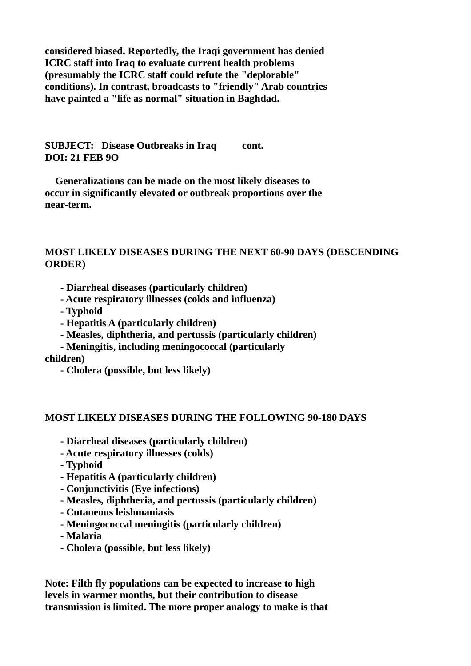**considered biased. Reportedly, the Iraqi government has denied ICRC staff into Iraq to evaluate current health problems (presumably the ICRC staff could refute the "deplorable" conditions). In contrast, broadcasts to "friendly" Arab countries have painted a "life as normal" situation in Baghdad.**

**SUBJECT: Disease Outbreaks in Iraq cont. DOI: 21 FEB 9O**

 **Generalizations can be made on the most likely diseases to occur in significantly elevated or outbreak proportions over the near-term.**

## **MOST LIKELY DISEASES DURING THE NEXT 60-90 DAYS (DESCENDING ORDER)**

- **Diarrheal diseases (particularly children)**
- **Acute respiratory illnesses (colds and influenza)**
- **Typhoid**
- **Hepatitis A (particularly children)**
- **Measles, diphtheria, and pertussis (particularly children)**
- **Meningitis, including meningococcal (particularly**

## **children)**

 **- Cholera (possible, but less likely)**

## **MOST LIKELY DISEASES DURING THE FOLLOWING 90-180 DAYS**

- **Diarrheal diseases (particularly children)**
- **Acute respiratory illnesses (colds)**
- **Typhoid**
- **Hepatitis A (particularly children)**
- **Conjunctivitis (Eye infections)**
- **Measles, diphtheria, and pertussis (particularly children)**
- **Cutaneous leishmaniasis**
- **Meningococcal meningitis (particularly children)**
- **Malaria**
- **Cholera (possible, but less likely)**

**Note: Filth fly populations can be expected to increase to high levels in warmer months, but their contribution to disease transmission is limited. The more proper analogy to make is that**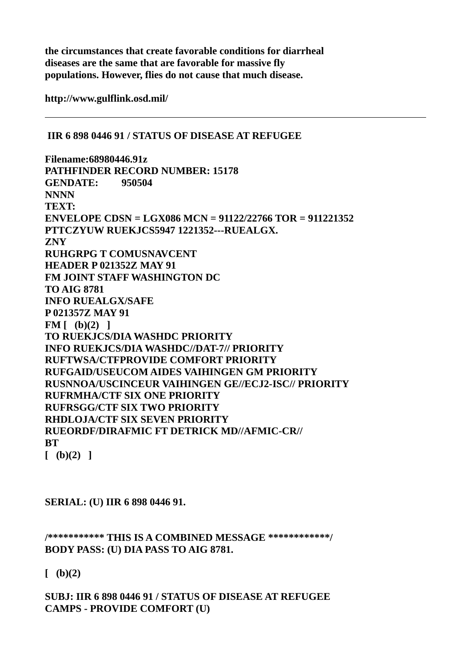**the circumstances that create favorable conditions for diarrheal diseases are the same that are favorable for massive fly populations. However, flies do not cause that much disease.**

**http://www.gulflink.osd.mil/**

 **IIR 6 898 0446 91 / STATUS OF DISEASE AT REFUGEE Filename:68980446.91z PATHFINDER RECORD NUMBER: 15178 GENDATE: 950504 NNNN TEXT: ENVELOPE CDSN = LGX086 MCN = 91122/22766 TOR = 911221352 PTTCZYUW RUEKJCS5947 1221352---RUEALGX. ZNY RUHGRPG T COMUSNAVCENT HEADER P 021352Z MAY 91 FM JOINT STAFF WASHINGTON DC TO AIG 8781 INFO RUEALGX/SAFE P 021357Z MAY 91 FM [ (b)(2) ] TO RUEKJCS/DIA WASHDC PRIORITY INFO RUEKJCS/DIA WASHDC//DAT-7// PRIORITY RUFTWSA/CTFPROVIDE COMFORT PRIORITY RUFGAID/USEUCOM AIDES VAIHINGEN GM PRIORITY RUSNNOA/USCINCEUR VAIHINGEN GE//ECJ2-ISC// PRIORITY RUFRMHA/CTF SIX ONE PRIORITY RUFRSGG/CTF SIX TWO PRIORITY RHDLOJA/CTF SIX SEVEN PRIORITY RUEORDF/DIRAFMIC FT DETRICK MD//AFMIC-CR// BT [ (b)(2) ]**

**SERIAL: (U) IIR 6 898 0446 91.**

**/\*\*\*\*\*\*\*\*\*\*\* THIS IS A COMBINED MESSAGE \*\*\*\*\*\*\*\*\*\*\*\*/ BODY PASS: (U) DIA PASS TO AIG 8781.**

**[ (b)(2)** 

**SUBJ: IIR 6 898 0446 91 / STATUS OF DISEASE AT REFUGEE CAMPS - PROVIDE COMFORT (U)**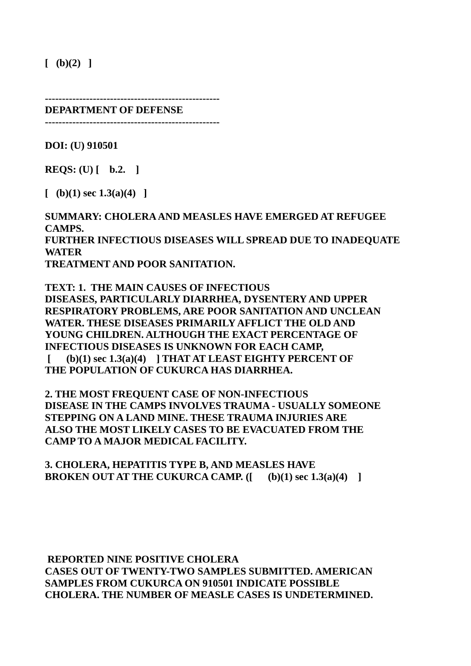**[ (b)(2) ]**

**DEPARTMENT OF DEFENSE**

**---------------------------------------------------**

**---------------------------------------------------**

**DOI: (U) 910501**

**REQS: (U) [ b.2. ]**

**[ (b)(1) sec 1.3(a)(4) ]**

**SUMMARY: CHOLERA AND MEASLES HAVE EMERGED AT REFUGEE CAMPS. FURTHER INFECTIOUS DISEASES WILL SPREAD DUE TO INADEQUATE WATER TREATMENT AND POOR SANITATION.**

**TEXT: 1. THE MAIN CAUSES OF INFECTIOUS DISEASES, PARTICULARLY DIARRHEA, DYSENTERY AND UPPER RESPIRATORY PROBLEMS, ARE POOR SANITATION AND UNCLEAN WATER. THESE DISEASES PRIMARILY AFFLICT THE OLD AND YOUNG CHILDREN. ALTHOUGH THE EXACT PERCENTAGE OF INFECTIOUS DISEASES IS UNKNOWN FOR EACH CAMP, [ (b)(1) sec 1.3(a)(4) ] THAT AT LEAST EIGHTY PERCENT OF THE POPULATION OF CUKURCA HAS DIARRHEA.**

**2. THE MOST FREQUENT CASE OF NON-INFECTIOUS DISEASE IN THE CAMPS INVOLVES TRAUMA - USUALLY SOMEONE STEPPING ON A LAND MINE. THESE TRAUMA INJURIES ARE ALSO THE MOST LIKELY CASES TO BE EVACUATED FROM THE CAMP TO A MAJOR MEDICAL FACILITY.**

# **3. CHOLERA, HEPATITIS TYPE B, AND MEASLES HAVE BROKEN OUT AT THE CUKURCA CAMP. ([ (b)(1) sec 1.3(a)(4) ]**

 **REPORTED NINE POSITIVE CHOLERA CASES OUT OF TWENTY-TWO SAMPLES SUBMITTED. AMERICAN SAMPLES FROM CUKURCA ON 910501 INDICATE POSSIBLE CHOLERA. THE NUMBER OF MEASLE CASES IS UNDETERMINED.**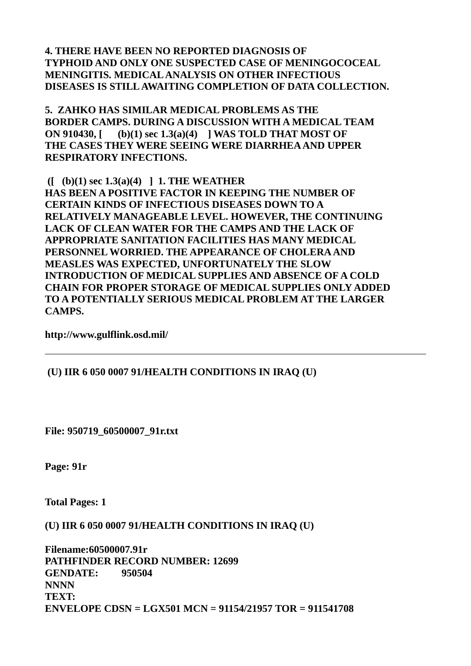**4. THERE HAVE BEEN NO REPORTED DIAGNOSIS OF TYPHOID AND ONLY ONE SUSPECTED CASE OF MENINGOCOCEAL MENINGITIS. MEDICAL ANALYSIS ON OTHER INFECTIOUS DISEASES IS STILL AWAITING COMPLETION OF DATA COLLECTION.**

**5. ZAHKO HAS SIMILAR MEDICAL PROBLEMS AS THE BORDER CAMPS. DURING A DISCUSSION WITH A MEDICAL TEAM ON 910430, [ (b)(1) sec 1.3(a)(4) ] WAS TOLD THAT MOST OF THE CASES THEY WERE SEEING WERE DIARRHEA AND UPPER RESPIRATORY INFECTIONS.**

 **([ (b)(1) sec 1.3(a)(4) ] 1. THE WEATHER HAS BEEN A POSITIVE FACTOR IN KEEPING THE NUMBER OF CERTAIN KINDS OF INFECTIOUS DISEASES DOWN TO A RELATIVELY MANAGEABLE LEVEL. HOWEVER, THE CONTINUING LACK OF CLEAN WATER FOR THE CAMPS AND THE LACK OF APPROPRIATE SANITATION FACILITIES HAS MANY MEDICAL PERSONNEL WORRIED. THE APPEARANCE OF CHOLERA AND MEASLES WAS EXPECTED, UNFORTUNATELY THE SLOW INTRODUCTION OF MEDICAL SUPPLIES AND ABSENCE OF A COLD CHAIN FOR PROPER STORAGE OF MEDICAL SUPPLIES ONLY ADDED TO A POTENTIALLY SERIOUS MEDICAL PROBLEM AT THE LARGER CAMPS.**

**http://www.gulflink.osd.mil/**

 **(U) IIR 6 050 0007 91/HEALTH CONDITIONS IN IRAQ (U)**

**File: 950719\_60500007\_91r.txt**

**Page: 91r**

**Total Pages: 1**

**(U) IIR 6 050 0007 91/HEALTH CONDITIONS IN IRAQ (U)**

**Filename:60500007.91r PATHFINDER RECORD NUMBER: 12699 GENDATE: 950504 NNNN TEXT: ENVELOPE CDSN = LGX501 MCN = 91154/21957 TOR = 911541708**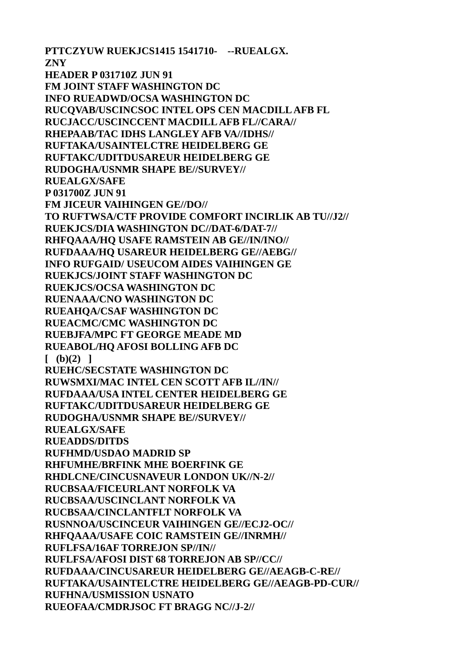**PTTCZYUW RUEKJCS1415 1541710- --RUEALGX. ZNY HEADER P 031710Z JUN 91 FM JOINT STAFF WASHINGTON DC INFO RUEADWD/OCSA WASHINGTON DC RUCQVAB/USCINCSOC INTEL OPS CEN MACDILL AFB FL RUCJACC/USCINCCENT MACDILL AFB FL//CARA// RHEPAAB/TAC IDHS LANGLEY AFB VA//IDHS// RUFTAKA/USAINTELCTRE HEIDELBERG GE RUFTAKC/UDITDUSAREUR HEIDELBERG GE RUDOGHA/USNMR SHAPE BE//SURVEY// RUEALGX/SAFE P 031700Z JUN 91 FM JICEUR VAIHINGEN GE//DO// TO RUFTWSA/CTF PROVIDE COMFORT INCIRLIK AB TU//J2// RUEKJCS/DIA WASHINGTON DC//DAT-6/DAT-7// RHFQAAA/HQ USAFE RAMSTEIN AB GE//IN/INO// RUFDAAA/HQ USAREUR HEIDELBERG GE//AEBG// INFO RUFGAID/ USEUCOM AIDES VAIHINGEN GE RUEKJCS/JOINT STAFF WASHINGTON DC RUEKJCS/OCSA WASHINGTON DC RUENAAA/CNO WASHINGTON DC RUEAHQA/CSAF WASHINGTON DC RUEACMC/CMC WASHINGTON DC RUEBJFA/MPC FT GEORGE MEADE MD RUEABOL/HQ AFOSI BOLLING AFB DC [ (b)(2) ] RUEHC/SECSTATE WASHINGTON DC RUWSMXI/MAC INTEL CEN SCOTT AFB IL//IN// RUFDAAA/USA INTEL CENTER HEIDELBERG GE RUFTAKC/UDITDUSAREUR HEIDELBERG GE RUDOGHA/USNMR SHAPE BE//SURVEY// RUEALGX/SAFE RUEADDS/DITDS RUFHMD/USDAO MADRID SP RHFUMHE/BRFINK MHE BOERFINK GE RHDLCNE/CINCUSNAVEUR LONDON UK//N-2// RUCBSAA/FICEURLANT NORFOLK VA RUCBSAA/USCINCLANT NORFOLK VA RUCBSAA/CINCLANTFLT NORFOLK VA RUSNNOA/USCINCEUR VAIHINGEN GE//ECJ2-OC// RHFQAAA/USAFE COIC RAMSTEIN GE//INRMH// RUFLFSA/16AF TORREJON SP//IN// RUFLFSA/AFOSI DIST 68 TORREJON AB SP//CC// RUFDAAA/CINCUSAREUR HEIDELBERG GE//AEAGB-C-RE// RUFTAKA/USAINTELCTRE HEIDELBERG GE//AEAGB-PD-CUR// RUFHNA/USMISSION USNATO RUEOFAA/CMDRJSOC FT BRAGG NC//J-2//**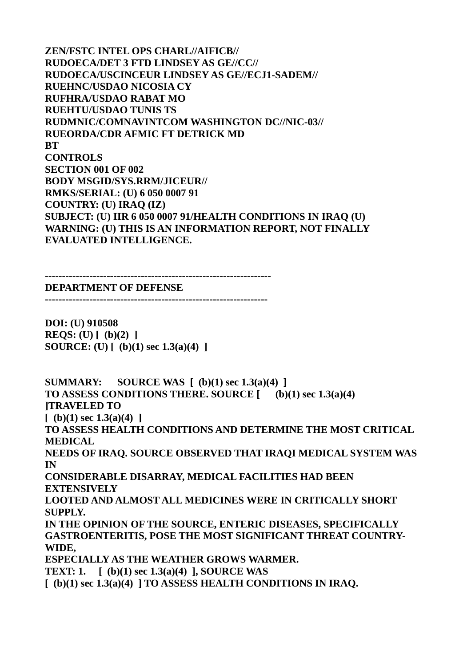**ZEN/FSTC INTEL OPS CHARL//AIFICB// RUDOECA/DET 3 FTD LINDSEY AS GE//CC// RUDOECA/USCINCEUR LINDSEY AS GE//ECJ1-SADEM// RUEHNC/USDAO NICOSIA CY RUFHRA/USDAO RABAT MO RUEHTU/USDAO TUNIS TS RUDMNIC/COMNAVINTCOM WASHINGTON DC//NIC-03// RUEORDA/CDR AFMIC FT DETRICK MD BT CONTROLS SECTION 001 OF 002 BODY MSGID/SYS.RRM/JICEUR// RMKS/SERIAL: (U) 6 050 0007 91 COUNTRY: (U) IRAQ (IZ) SUBJECT: (U) IIR 6 050 0007 91/HEALTH CONDITIONS IN IRAQ (U) WARNING: (U) THIS IS AN INFORMATION REPORT, NOT FINALLY EVALUATED INTELLIGENCE.** 

**------------------------------------------------------------------**

**DEPARTMENT OF DEFENSE -----------------------------------------------------------------**

**DOI: (U) 910508 REQS: (U) [ (b)(2) ] SOURCE: (U) [ (b)(1) sec 1.3(a)(4) ]**

**SUMMARY: SOURCE WAS [ (b)(1) sec 1.3(a)(4) ] TO ASSESS CONDITIONS THERE. SOURCE [ (b)(1) sec 1.3(a)(4) ]TRAVELED TO [ (b)(1) sec 1.3(a)(4) ] TO ASSESS HEALTH CONDITIONS AND DETERMINE THE MOST CRITICAL MEDICAL NEEDS OF IRAQ. SOURCE OBSERVED THAT IRAQI MEDICAL SYSTEM WAS IN CONSIDERABLE DISARRAY, MEDICAL FACILITIES HAD BEEN EXTENSIVELY LOOTED AND ALMOST ALL MEDICINES WERE IN CRITICALLY SHORT SUPPLY. IN THE OPINION OF THE SOURCE, ENTERIC DISEASES, SPECIFICALLY GASTROENTERITIS, POSE THE MOST SIGNIFICANT THREAT COUNTRY-WIDE, ESPECIALLY AS THE WEATHER GROWS WARMER. TEXT: 1. [ (b)(1) sec 1.3(a)(4) ], SOURCE WAS** 

**[ (b)(1) sec 1.3(a)(4) ] TO ASSESS HEALTH CONDITIONS IN IRAQ.**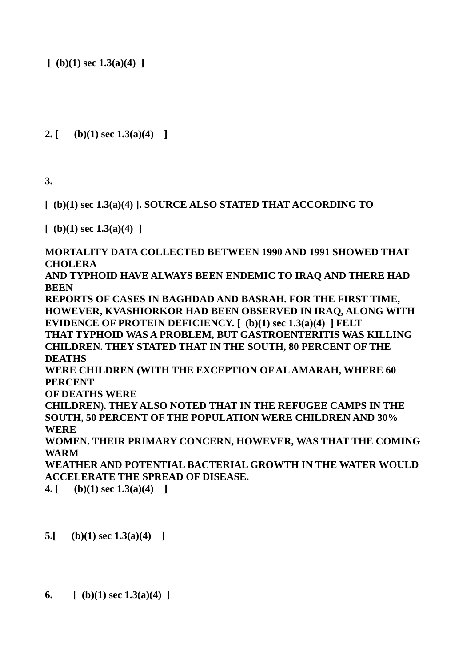**[ (b)(1) sec 1.3(a)(4) ]**

**2. [ (b)(1) sec 1.3(a)(4) ]**

**3.** 

**[ (b)(1) sec 1.3(a)(4) ]. SOURCE ALSO STATED THAT ACCORDING TO** 

**[ (b)(1) sec 1.3(a)(4) ]**

**MORTALITY DATA COLLECTED BETWEEN 1990 AND 1991 SHOWED THAT CHOLERA** 

**AND TYPHOID HAVE ALWAYS BEEN ENDEMIC TO IRAQ AND THERE HAD BEEN** 

**REPORTS OF CASES IN BAGHDAD AND BASRAH. FOR THE FIRST TIME, HOWEVER, KVASHIORKOR HAD BEEN OBSERVED IN IRAQ, ALONG WITH EVIDENCE OF PROTEIN DEFICIENCY. [ (b)(1) sec 1.3(a)(4) ] FELT THAT TYPHOID WAS A PROBLEM, BUT GASTROENTERITIS WAS KILLING CHILDREN. THEY STATED THAT IN THE SOUTH, 80 PERCENT OF THE DEATHS** 

**WERE CHILDREN (WITH THE EXCEPTION OF AL AMARAH, WHERE 60 PERCENT** 

**OF DEATHS WERE**

**CHILDREN). THEY ALSO NOTED THAT IN THE REFUGEE CAMPS IN THE SOUTH, 50 PERCENT OF THE POPULATION WERE CHILDREN AND 30% WERE**

**WOMEN. THEIR PRIMARY CONCERN, HOWEVER, WAS THAT THE COMING WARM**

**WEATHER AND POTENTIAL BACTERIAL GROWTH IN THE WATER WOULD ACCELERATE THE SPREAD OF DISEASE.**

**4. [ (b)(1) sec 1.3(a)(4) ]**

**5.[ (b)(1) sec 1.3(a)(4) ]**

**6. [ (b)(1) sec 1.3(a)(4) ]**